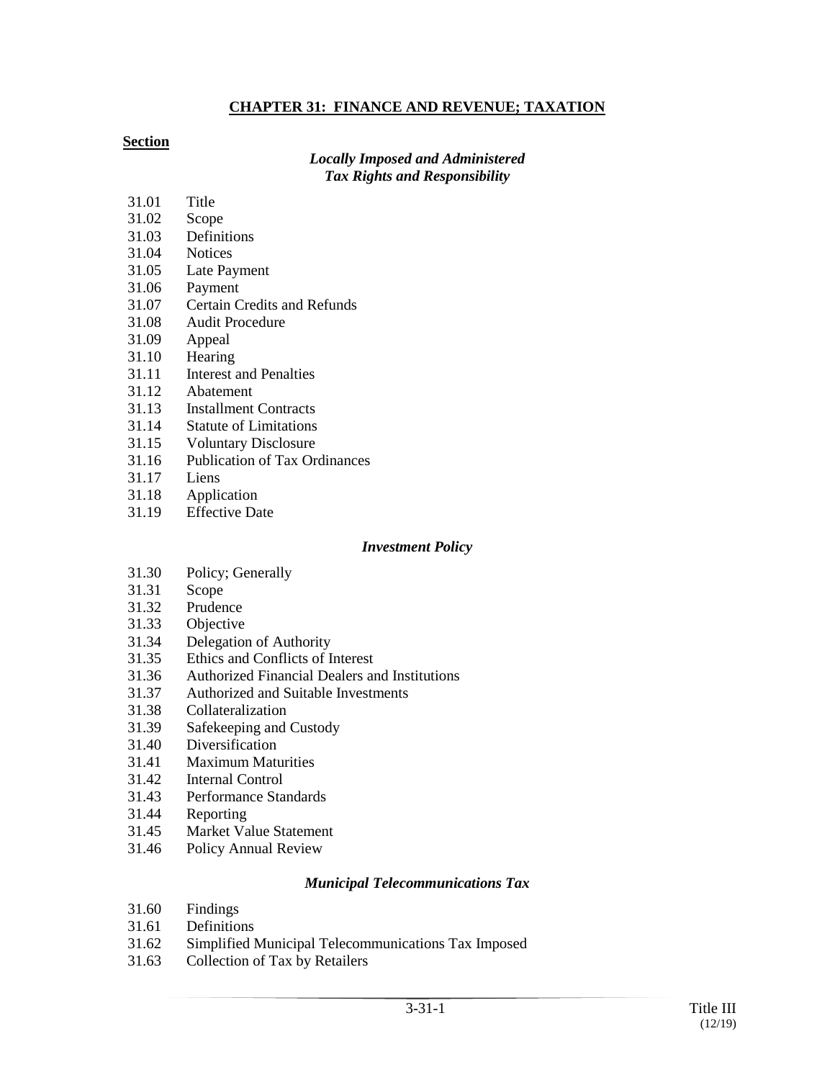#### **CHAPTER 31: FINANCE AND REVENUE; TAXATION**

#### **Section**

#### *Locally Imposed and Administered Tax Rights and Responsibility*

- 31.01 Title
- 31.02 Scope
- 31.03 Definitions
- 31.04 Notices
- 31.05 Late Payment
- 31.06 Payment
- 31.07 Certain Credits and Refunds
- 31.08 Audit Procedure
- 31.09 Appeal
- 31.10 Hearing
- 31.11 Interest and Penalties
- 31.12 Abatement
- 31.13 Installment Contracts
- 31.14 Statute of Limitations
- 31.15 Voluntary Disclosure
- 31.16 Publication of Tax Ordinances
- 31.17 Liens
- 31.18 Application
- 31.19 Effective Date

#### *Investment Policy*

- 31.30 Policy; Generally
- 31.31 Scope
- 31.32 Prudence
- 31.33 Objective
- 31.34 Delegation of Authority
- 31.35 Ethics and Conflicts of Interest
- 31.36 Authorized Financial Dealers and Institutions
- 31.37 Authorized and Suitable Investments
- 31.38 Collateralization
- 31.39 Safekeeping and Custody
- 31.40 Diversification
- 31.41 Maximum Maturities
- 31.42 Internal Control
- 31.43 Performance Standards
- 31.44 Reporting
- 31.45 Market Value Statement
- 31.46 Policy Annual Review

#### *Municipal Telecommunications Tax*

- 31.60 Findings
- 31.61 Definitions
- 31.62 Simplified Municipal Telecommunications Tax Imposed
- 31.63 Collection of Tax by Retailers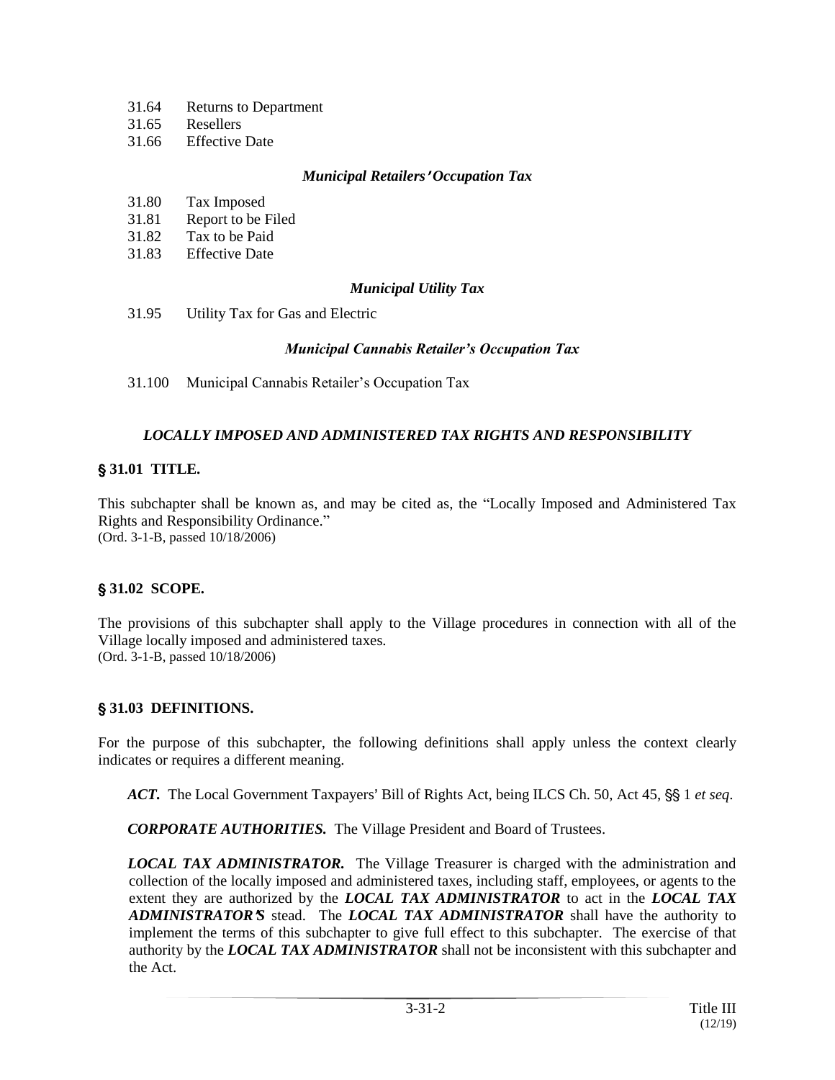- 31.64 Returns to Department
- 31.65 Resellers
- 31.66 Effective Date

#### *Municipal Retailers*<sup>=</sup> *Occupation Tax*

- 31.80 Tax Imposed
- 31.81 Report to be Filed
- 31.82 Tax to be Paid
- 31.83 Effective Date

## *Municipal Utility Tax*

31.95 Utility Tax for Gas and Electric

## *Municipal Cannabis Retailer's Occupation Tax*

31.100 Municipal Cannabis Retailer's Occupation Tax

# *LOCALLY IMPOSED AND ADMINISTERED TAX RIGHTS AND RESPONSIBILITY*

# ' **31.01 TITLE.**

This subchapter shall be known as, and may be cited as, the "Locally Imposed and Administered Tax Rights and Responsibility Ordinance." (Ord. 3-1-B, passed 10/18/2006)

## ' **31.02 SCOPE.**

The provisions of this subchapter shall apply to the Village procedures in connection with all of the Village locally imposed and administered taxes. (Ord. 3-1-B, passed 10/18/2006)

## ' **31.03 DEFINITIONS.**

For the purpose of this subchapter, the following definitions shall apply unless the context clearly indicates or requires a different meaning.

*ACT.* The Local Government Taxpayers' Bill of Rights Act, being ILCS Ch. 50, Act 45, §§ 1 et seq.

*CORPORATE AUTHORITIES.* The Village President and Board of Trustees.

*LOCAL TAX ADMINISTRATOR.* The Village Treasurer is charged with the administration and collection of the locally imposed and administered taxes, including staff, employees, or agents to the extent they are authorized by the *LOCAL TAX ADMINISTRATOR* to act in the *LOCAL TAX ADMINISTRATOR*=*S* stead. The *LOCAL TAX ADMINISTRATOR* shall have the authority to implement the terms of this subchapter to give full effect to this subchapter. The exercise of that authority by the *LOCAL TAX ADMINISTRATOR* shall not be inconsistent with this subchapter and the Act.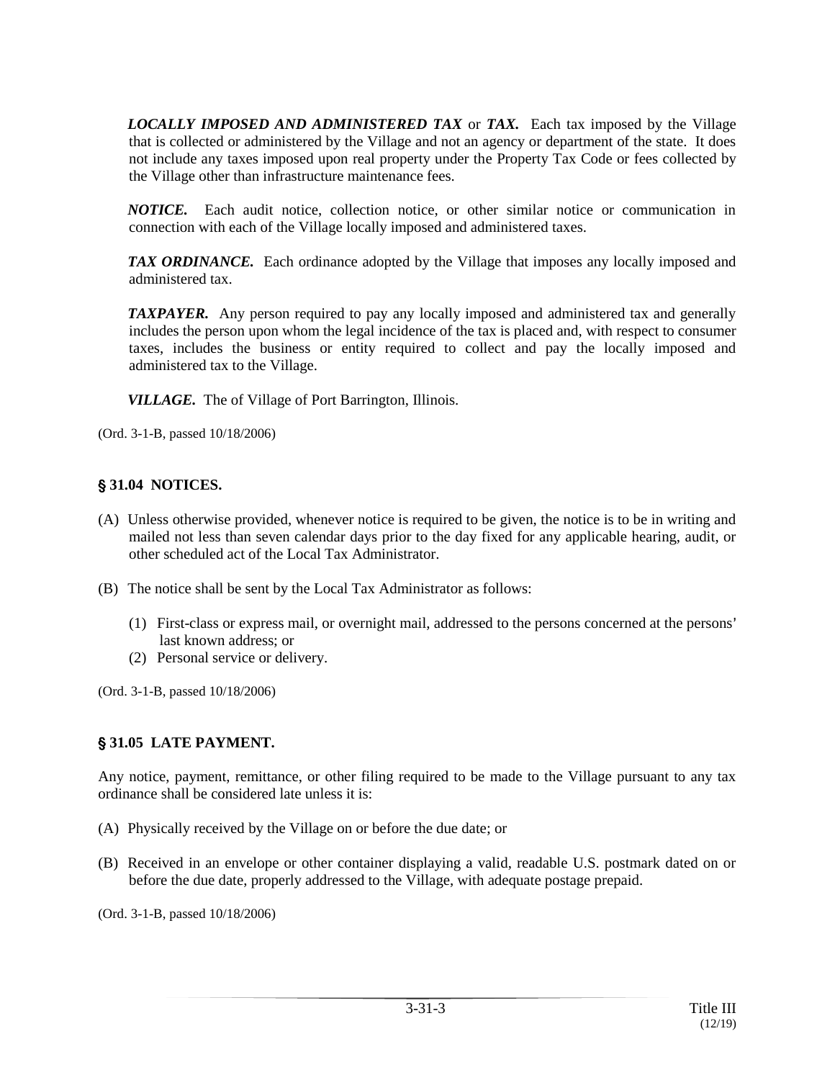*LOCALLY IMPOSED AND ADMINISTERED TAX* or *TAX.* Each tax imposed by the Village that is collected or administered by the Village and not an agency or department of the state. It does not include any taxes imposed upon real property under the Property Tax Code or fees collected by the Village other than infrastructure maintenance fees.

*NOTICE.* Each audit notice, collection notice, or other similar notice or communication in connection with each of the Village locally imposed and administered taxes.

*TAX ORDINANCE.* Each ordinance adopted by the Village that imposes any locally imposed and administered tax.

*TAXPAYER.* Any person required to pay any locally imposed and administered tax and generally includes the person upon whom the legal incidence of the tax is placed and, with respect to consumer taxes, includes the business or entity required to collect and pay the locally imposed and administered tax to the Village.

*VILLAGE.* The of Village of Port Barrington, Illinois.

(Ord. 3-1-B, passed 10/18/2006)

## ' **31.04 NOTICES.**

- (A) Unless otherwise provided, whenever notice is required to be given, the notice is to be in writing and mailed not less than seven calendar days prior to the day fixed for any applicable hearing, audit, or other scheduled act of the Local Tax Administrator.
- (B) The notice shall be sent by the Local Tax Administrator as follows:
	- (1) First-class or express mail, or overnight mail, addressed to the persons concerned at the persons= last known address; or
	- (2) Personal service or delivery.

(Ord. 3-1-B, passed 10/18/2006)

## ' **31.05 LATE PAYMENT.**

Any notice, payment, remittance, or other filing required to be made to the Village pursuant to any tax ordinance shall be considered late unless it is:

- (A) Physically received by the Village on or before the due date; or
- (B) Received in an envelope or other container displaying a valid, readable U.S. postmark dated on or before the due date, properly addressed to the Village, with adequate postage prepaid.

(Ord. 3-1-B, passed 10/18/2006)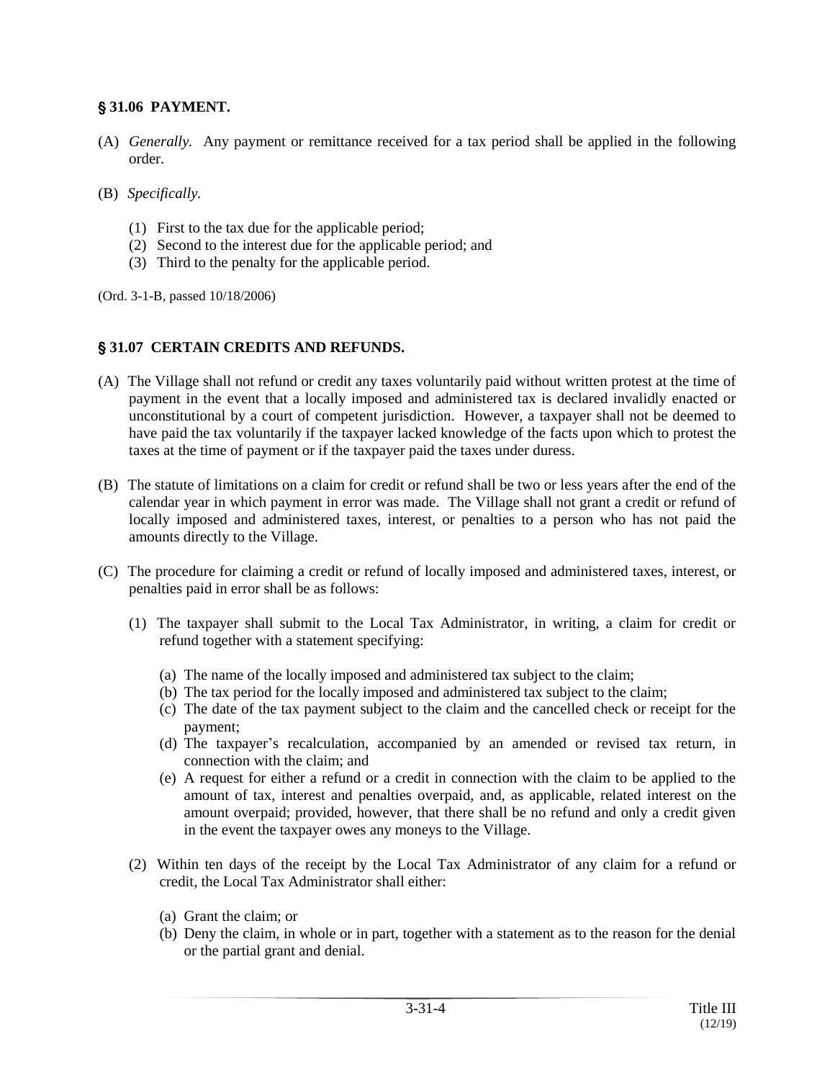#### ' **31.06 PAYMENT.**

- (A) *Generally.* Any payment or remittance received for a tax period shall be applied in the following order.
- (B) *Specifically.*
	- (1) First to the tax due for the applicable period;
	- (2) Second to the interest due for the applicable period; and
	- (3) Third to the penalty for the applicable period.

(Ord. 3-1-B, passed 10/18/2006)

#### ' **31.07 CERTAIN CREDITS AND REFUNDS.**

- (A) The Village shall not refund or credit any taxes voluntarily paid without written protest at the time of payment in the event that a locally imposed and administered tax is declared invalidly enacted or unconstitutional by a court of competent jurisdiction. However, a taxpayer shall not be deemed to have paid the tax voluntarily if the taxpayer lacked knowledge of the facts upon which to protest the taxes at the time of payment or if the taxpayer paid the taxes under duress.
- (B) The statute of limitations on a claim for credit or refund shall be two or less years after the end of the calendar year in which payment in error was made. The Village shall not grant a credit or refund of locally imposed and administered taxes, interest, or penalties to a person who has not paid the amounts directly to the Village.
- (C) The procedure for claiming a credit or refund of locally imposed and administered taxes, interest, or penalties paid in error shall be as follows:
	- (1) The taxpayer shall submit to the Local Tax Administrator, in writing, a claim for credit or refund together with a statement specifying:
		- (a) The name of the locally imposed and administered tax subject to the claim;
		- (b) The tax period for the locally imposed and administered tax subject to the claim;
		- (c) The date of the tax payment subject to the claim and the cancelled check or receipt for the payment;
		- (d) The taxpayer's recalculation, accompanied by an amended or revised tax return, in connection with the claim; and
		- (e) A request for either a refund or a credit in connection with the claim to be applied to the amount of tax, interest and penalties overpaid, and, as applicable, related interest on the amount overpaid; provided, however, that there shall be no refund and only a credit given in the event the taxpayer owes any moneys to the Village.
	- (2) Within ten days of the receipt by the Local Tax Administrator of any claim for a refund or credit, the Local Tax Administrator shall either:
		- (a) Grant the claim; or
		- (b) Deny the claim, in whole or in part, together with a statement as to the reason for the denial or the partial grant and denial.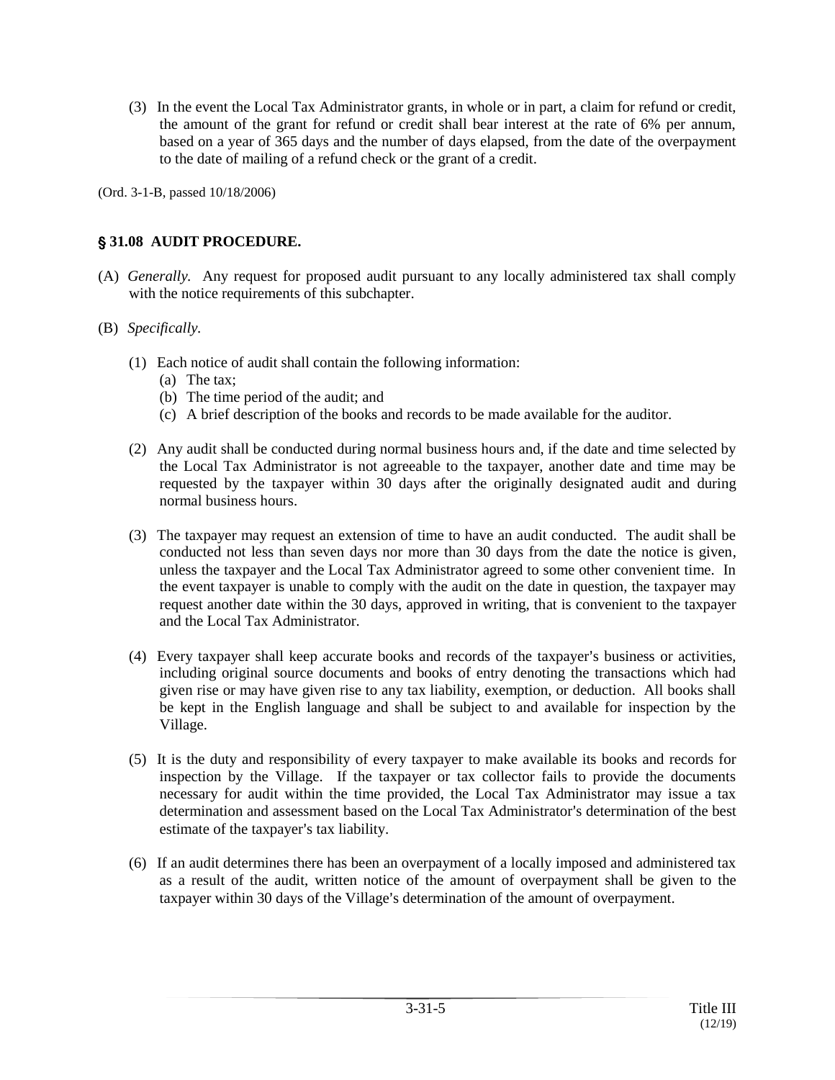(3) In the event the Local Tax Administrator grants, in whole or in part, a claim for refund or credit, the amount of the grant for refund or credit shall bear interest at the rate of 6% per annum, based on a year of 365 days and the number of days elapsed, from the date of the overpayment to the date of mailing of a refund check or the grant of a credit.

(Ord. 3-1-B, passed 10/18/2006)

# ' **31.08 AUDIT PROCEDURE.**

- (A) *Generally.* Any request for proposed audit pursuant to any locally administered tax shall comply with the notice requirements of this subchapter.
- (B) *Specifically.*
	- (1) Each notice of audit shall contain the following information:
		- (a) The tax;
		- (b) The time period of the audit; and
		- (c) A brief description of the books and records to be made available for the auditor.
	- (2) Any audit shall be conducted during normal business hours and, if the date and time selected by the Local Tax Administrator is not agreeable to the taxpayer, another date and time may be requested by the taxpayer within 30 days after the originally designated audit and during normal business hours.
	- (3) The taxpayer may request an extension of time to have an audit conducted. The audit shall be conducted not less than seven days nor more than 30 days from the date the notice is given, unless the taxpayer and the Local Tax Administrator agreed to some other convenient time. In the event taxpayer is unable to comply with the audit on the date in question, the taxpayer may request another date within the 30 days, approved in writing, that is convenient to the taxpayer and the Local Tax Administrator.
	- (4) Every taxpayer shall keep accurate books and records of the taxpayer's business or activities, including original source documents and books of entry denoting the transactions which had given rise or may have given rise to any tax liability, exemption, or deduction. All books shall be kept in the English language and shall be subject to and available for inspection by the Village.
	- (5) It is the duty and responsibility of every taxpayer to make available its books and records for inspection by the Village. If the taxpayer or tax collector fails to provide the documents necessary for audit within the time provided, the Local Tax Administrator may issue a tax determination and assessment based on the Local Tax Administrator's determination of the best estimate of the taxpayer's tax liability.
	- (6) If an audit determines there has been an overpayment of a locally imposed and administered tax as a result of the audit, written notice of the amount of overpayment shall be given to the taxpayer within 30 days of the Village's determination of the amount of overpayment.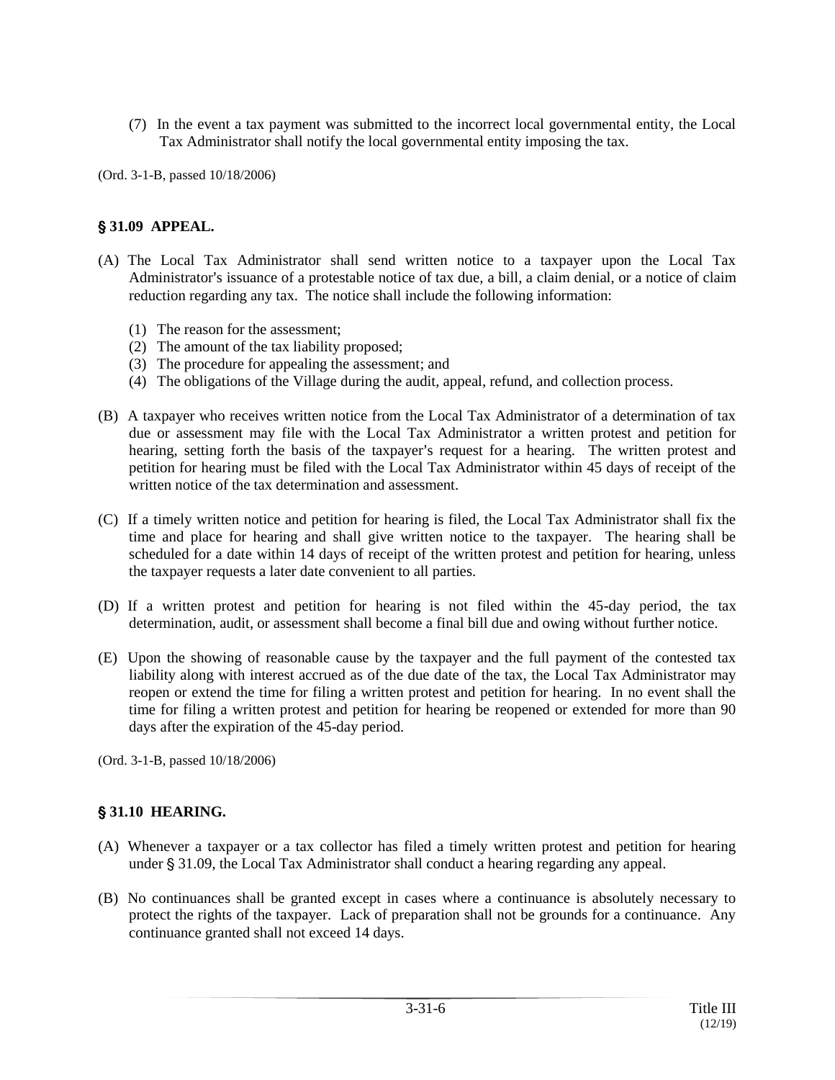(7) In the event a tax payment was submitted to the incorrect local governmental entity, the Local Tax Administrator shall notify the local governmental entity imposing the tax.

(Ord. 3-1-B, passed 10/18/2006)

# ' **31.09 APPEAL.**

- (A) The Local Tax Administrator shall send written notice to a taxpayer upon the Local Tax Administrator's issuance of a protestable notice of tax due, a bill, a claim denial, or a notice of claim reduction regarding any tax. The notice shall include the following information:
	- (1) The reason for the assessment;
	- (2) The amount of the tax liability proposed;
	- (3) The procedure for appealing the assessment; and
	- (4) The obligations of the Village during the audit, appeal, refund, and collection process.
- (B) A taxpayer who receives written notice from the Local Tax Administrator of a determination of tax due or assessment may file with the Local Tax Administrator a written protest and petition for hearing, setting forth the basis of the taxpayer's request for a hearing. The written protest and petition for hearing must be filed with the Local Tax Administrator within 45 days of receipt of the written notice of the tax determination and assessment.
- (C) If a timely written notice and petition for hearing is filed, the Local Tax Administrator shall fix the time and place for hearing and shall give written notice to the taxpayer. The hearing shall be scheduled for a date within 14 days of receipt of the written protest and petition for hearing, unless the taxpayer requests a later date convenient to all parties.
- (D) If a written protest and petition for hearing is not filed within the 45-day period, the tax determination, audit, or assessment shall become a final bill due and owing without further notice.
- (E) Upon the showing of reasonable cause by the taxpayer and the full payment of the contested tax liability along with interest accrued as of the due date of the tax, the Local Tax Administrator may reopen or extend the time for filing a written protest and petition for hearing. In no event shall the time for filing a written protest and petition for hearing be reopened or extended for more than 90 days after the expiration of the 45-day period.

(Ord. 3-1-B, passed 10/18/2006)

## ' **31.10 HEARING.**

- (A) Whenever a taxpayer or a tax collector has filed a timely written protest and petition for hearing under  $\S$  31.09, the Local Tax Administrator shall conduct a hearing regarding any appeal.
- (B) No continuances shall be granted except in cases where a continuance is absolutely necessary to protect the rights of the taxpayer. Lack of preparation shall not be grounds for a continuance. Any continuance granted shall not exceed 14 days.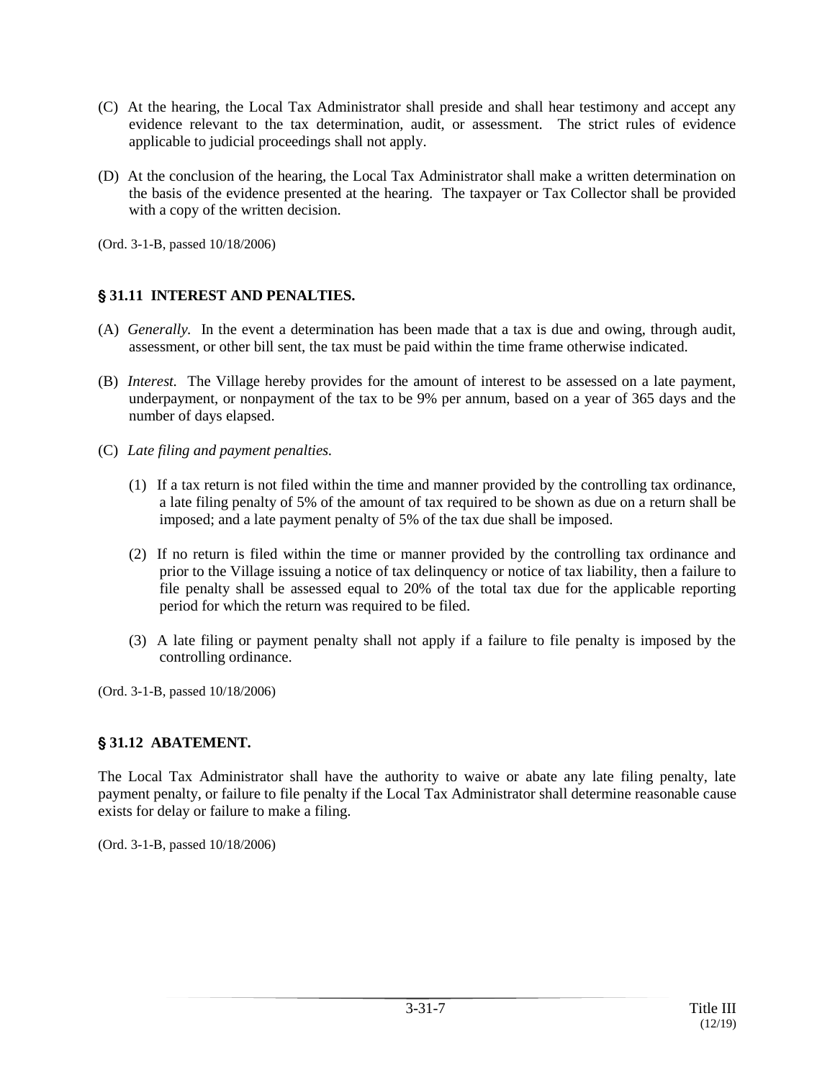- (C) At the hearing, the Local Tax Administrator shall preside and shall hear testimony and accept any evidence relevant to the tax determination, audit, or assessment. The strict rules of evidence applicable to judicial proceedings shall not apply.
- (D) At the conclusion of the hearing, the Local Tax Administrator shall make a written determination on the basis of the evidence presented at the hearing. The taxpayer or Tax Collector shall be provided with a copy of the written decision.
- (Ord. 3-1-B, passed 10/18/2006)

# ' **31.11 INTEREST AND PENALTIES.**

- (A) *Generally.* In the event a determination has been made that a tax is due and owing, through audit, assessment, or other bill sent, the tax must be paid within the time frame otherwise indicated.
- (B) *Interest.* The Village hereby provides for the amount of interest to be assessed on a late payment, underpayment, or nonpayment of the tax to be 9% per annum, based on a year of 365 days and the number of days elapsed.
- (C) *Late filing and payment penalties.*
	- (1) If a tax return is not filed within the time and manner provided by the controlling tax ordinance, a late filing penalty of 5% of the amount of tax required to be shown as due on a return shall be imposed; and a late payment penalty of 5% of the tax due shall be imposed.
	- (2) If no return is filed within the time or manner provided by the controlling tax ordinance and prior to the Village issuing a notice of tax delinquency or notice of tax liability, then a failure to file penalty shall be assessed equal to 20% of the total tax due for the applicable reporting period for which the return was required to be filed.
	- (3) A late filing or payment penalty shall not apply if a failure to file penalty is imposed by the controlling ordinance.

(Ord. 3-1-B, passed 10/18/2006)

## ' **31.12 ABATEMENT.**

The Local Tax Administrator shall have the authority to waive or abate any late filing penalty, late payment penalty, or failure to file penalty if the Local Tax Administrator shall determine reasonable cause exists for delay or failure to make a filing.

(Ord. 3-1-B, passed 10/18/2006)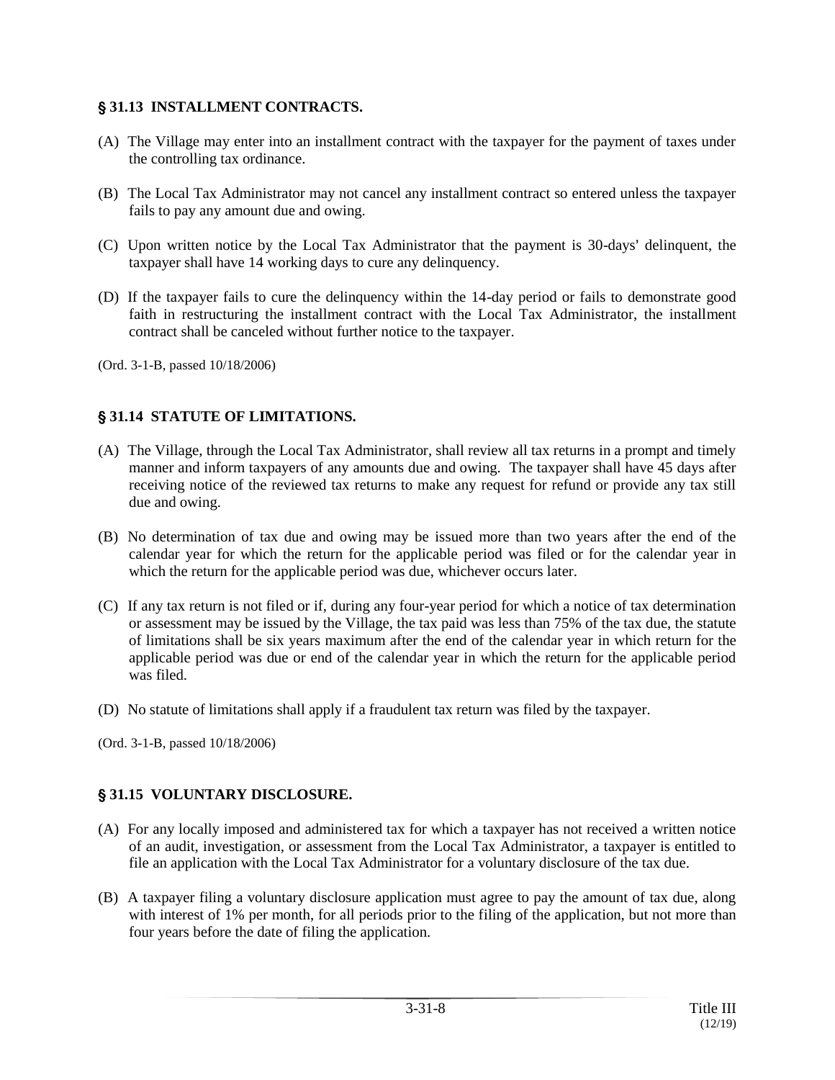# ' **31.13 INSTALLMENT CONTRACTS.**

- (A) The Village may enter into an installment contract with the taxpayer for the payment of taxes under the controlling tax ordinance.
- (B) The Local Tax Administrator may not cancel any installment contract so entered unless the taxpayer fails to pay any amount due and owing.
- (C) Upon written notice by the Local Tax Administrator that the payment is 30-days' delinquent, the taxpayer shall have 14 working days to cure any delinquency.
- (D) If the taxpayer fails to cure the delinquency within the 14-day period or fails to demonstrate good faith in restructuring the installment contract with the Local Tax Administrator, the installment contract shall be canceled without further notice to the taxpayer.

(Ord. 3-1-B, passed 10/18/2006)

# ' **31.14 STATUTE OF LIMITATIONS.**

- (A) The Village, through the Local Tax Administrator, shall review all tax returns in a prompt and timely manner and inform taxpayers of any amounts due and owing. The taxpayer shall have 45 days after receiving notice of the reviewed tax returns to make any request for refund or provide any tax still due and owing.
- (B) No determination of tax due and owing may be issued more than two years after the end of the calendar year for which the return for the applicable period was filed or for the calendar year in which the return for the applicable period was due, whichever occurs later.
- (C) If any tax return is not filed or if, during any four-year period for which a notice of tax determination or assessment may be issued by the Village, the tax paid was less than 75% of the tax due, the statute of limitations shall be six years maximum after the end of the calendar year in which return for the applicable period was due or end of the calendar year in which the return for the applicable period was filed.
- (D) No statute of limitations shall apply if a fraudulent tax return was filed by the taxpayer.

(Ord. 3-1-B, passed 10/18/2006)

# ' **31.15 VOLUNTARY DISCLOSURE.**

- (A) For any locally imposed and administered tax for which a taxpayer has not received a written notice of an audit, investigation, or assessment from the Local Tax Administrator, a taxpayer is entitled to file an application with the Local Tax Administrator for a voluntary disclosure of the tax due.
- (B) A taxpayer filing a voluntary disclosure application must agree to pay the amount of tax due, along with interest of 1% per month, for all periods prior to the filing of the application, but not more than four years before the date of filing the application.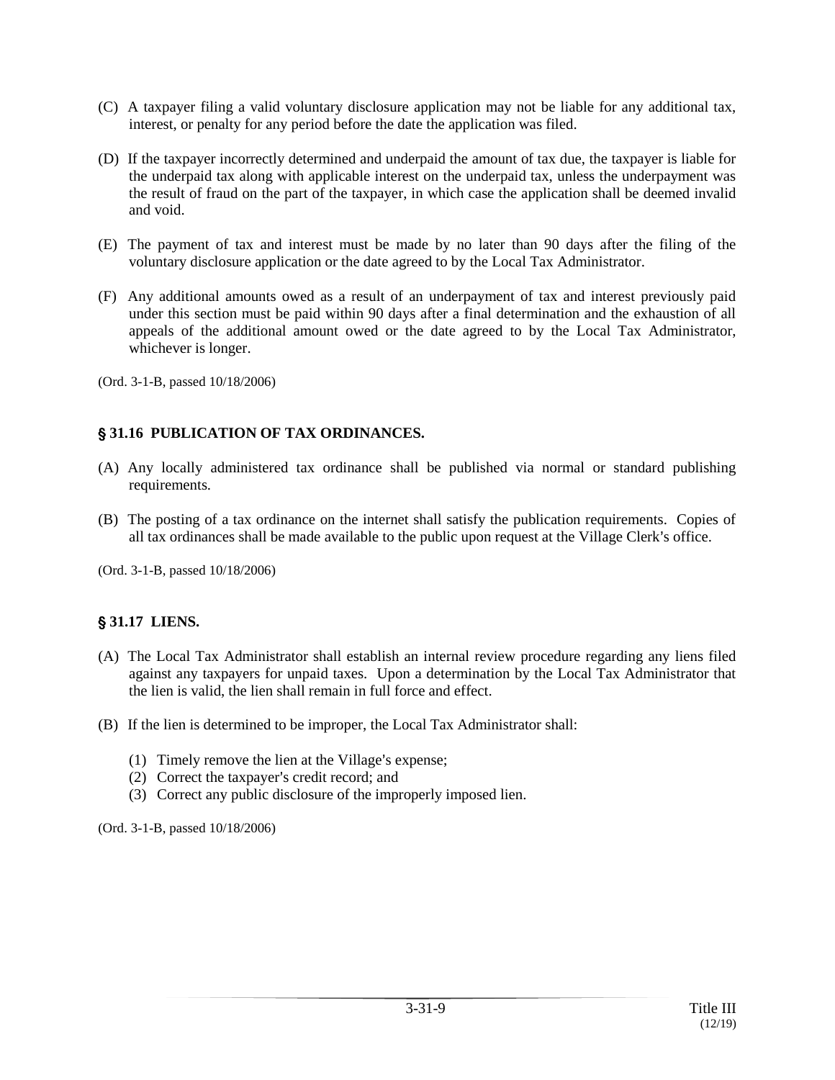- (C) A taxpayer filing a valid voluntary disclosure application may not be liable for any additional tax, interest, or penalty for any period before the date the application was filed.
- (D) If the taxpayer incorrectly determined and underpaid the amount of tax due, the taxpayer is liable for the underpaid tax along with applicable interest on the underpaid tax, unless the underpayment was the result of fraud on the part of the taxpayer, in which case the application shall be deemed invalid and void.
- (E) The payment of tax and interest must be made by no later than 90 days after the filing of the voluntary disclosure application or the date agreed to by the Local Tax Administrator.
- (F) Any additional amounts owed as a result of an underpayment of tax and interest previously paid under this section must be paid within 90 days after a final determination and the exhaustion of all appeals of the additional amount owed or the date agreed to by the Local Tax Administrator, whichever is longer.
- (Ord. 3-1-B, passed 10/18/2006)

# ' **31.16 PUBLICATION OF TAX ORDINANCES.**

- (A) Any locally administered tax ordinance shall be published via normal or standard publishing requirements.
- (B) The posting of a tax ordinance on the internet shall satisfy the publication requirements. Copies of all tax ordinances shall be made available to the public upon request at the Village Clerk's office.

(Ord. 3-1-B, passed 10/18/2006)

## ' **31.17 LIENS.**

- (A) The Local Tax Administrator shall establish an internal review procedure regarding any liens filed against any taxpayers for unpaid taxes. Upon a determination by the Local Tax Administrator that the lien is valid, the lien shall remain in full force and effect.
- (B) If the lien is determined to be improper, the Local Tax Administrator shall:
	- (1) Timely remove the lien at the Village's expense;
	- (2) Correct the taxpayer's credit record; and
	- (3) Correct any public disclosure of the improperly imposed lien.

(Ord. 3-1-B, passed 10/18/2006)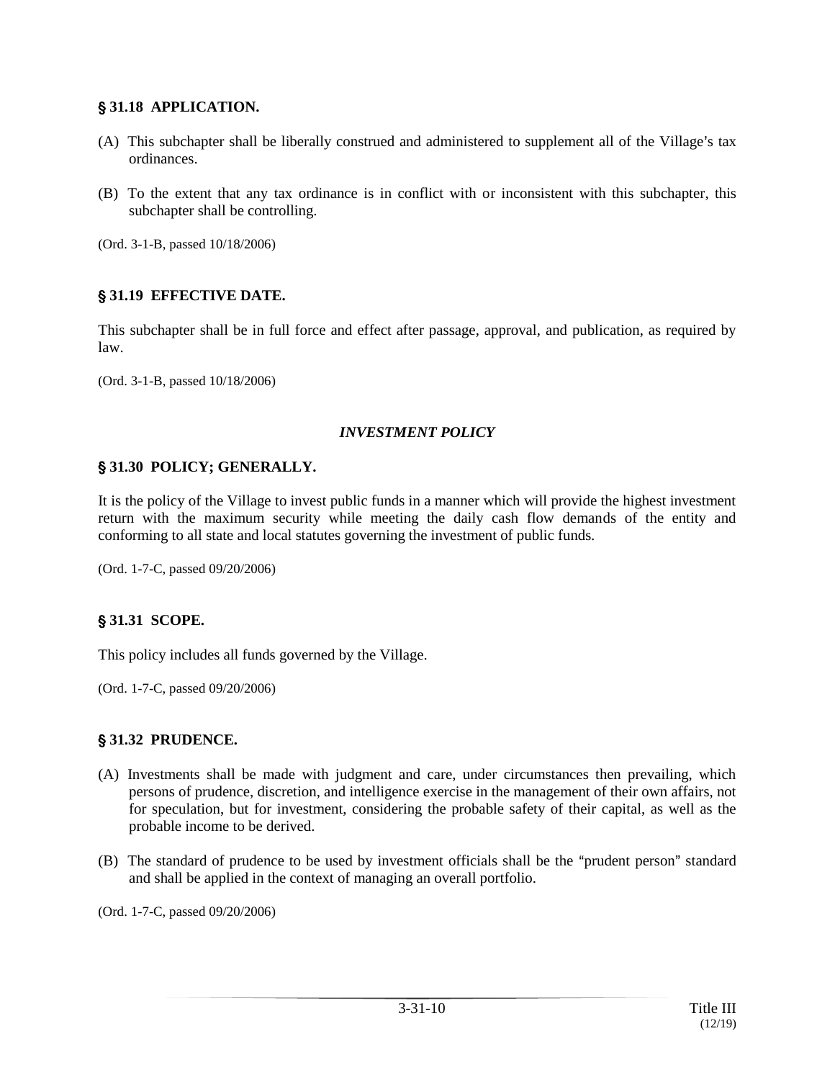#### ' **31.18 APPLICATION.**

- (A) This subchapter shall be liberally construed and administered to supplement all of the Village's tax ordinances.
- (B) To the extent that any tax ordinance is in conflict with or inconsistent with this subchapter, this subchapter shall be controlling.

(Ord. 3-1-B, passed 10/18/2006)

## ' **31.19 EFFECTIVE DATE.**

This subchapter shall be in full force and effect after passage, approval, and publication, as required by law.

(Ord. 3-1-B, passed 10/18/2006)

#### *INVESTMENT POLICY*

#### ' **31.30 POLICY; GENERALLY.**

It is the policy of the Village to invest public funds in a manner which will provide the highest investment return with the maximum security while meeting the daily cash flow demands of the entity and conforming to all state and local statutes governing the investment of public funds.

(Ord. 1-7-C, passed 09/20/2006)

#### ' **31.31 SCOPE.**

This policy includes all funds governed by the Village.

(Ord. 1-7-C, passed 09/20/2006)

#### ' **31.32 PRUDENCE.**

- (A) Investments shall be made with judgment and care, under circumstances then prevailing, which persons of prudence, discretion, and intelligence exercise in the management of their own affairs, not for speculation, but for investment, considering the probable safety of their capital, as well as the probable income to be derived.
- (B) The standard of prudence to be used by investment officials shall be the "prudent person" standard and shall be applied in the context of managing an overall portfolio.

(Ord. 1-7-C, passed 09/20/2006)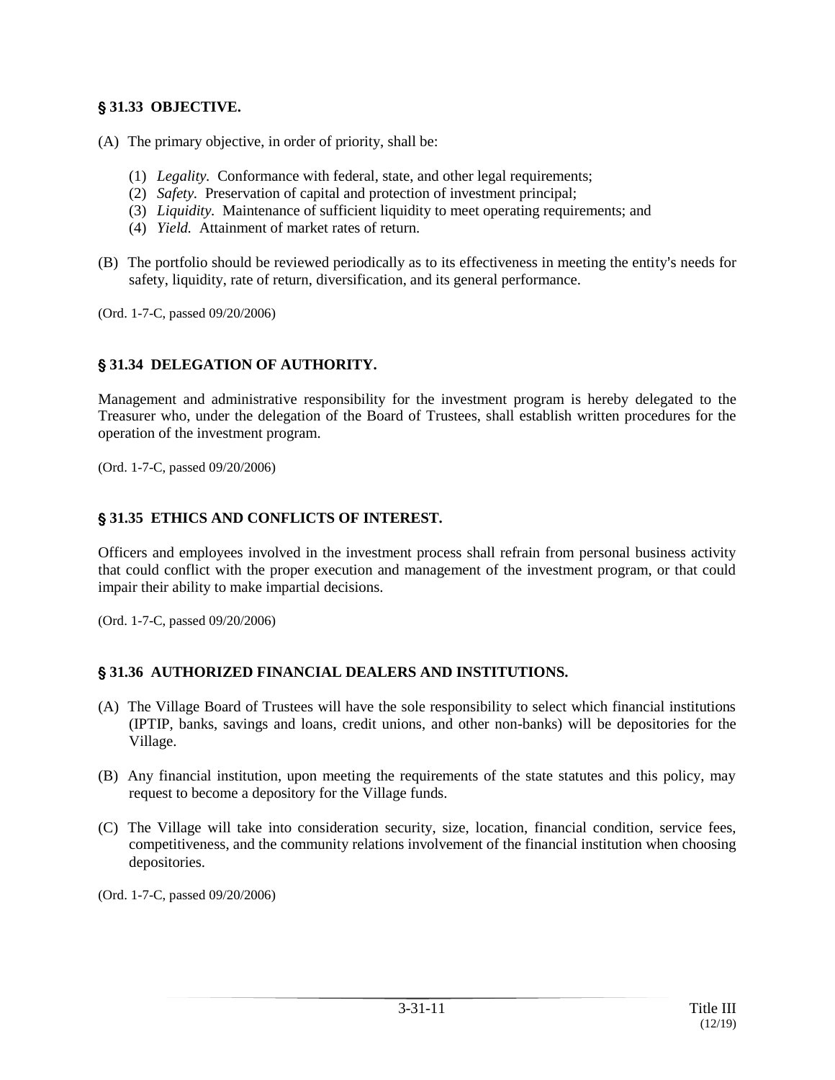# ' **31.33 OBJECTIVE.**

- (A) The primary objective, in order of priority, shall be:
	- (1) *Legality.* Conformance with federal, state, and other legal requirements;
	- (2) *Safety.* Preservation of capital and protection of investment principal;
	- (3) *Liquidity.* Maintenance of sufficient liquidity to meet operating requirements; and
	- (4) *Yield.* Attainment of market rates of return.
- (B) The portfolio should be reviewed periodically as to its effectiveness in meeting the entity's needs for safety, liquidity, rate of return, diversification, and its general performance.

(Ord. 1-7-C, passed 09/20/2006)

# ' **31.34 DELEGATION OF AUTHORITY.**

Management and administrative responsibility for the investment program is hereby delegated to the Treasurer who, under the delegation of the Board of Trustees, shall establish written procedures for the operation of the investment program.

(Ord. 1-7-C, passed 09/20/2006)

## ' **31.35 ETHICS AND CONFLICTS OF INTEREST.**

Officers and employees involved in the investment process shall refrain from personal business activity that could conflict with the proper execution and management of the investment program, or that could impair their ability to make impartial decisions.

(Ord. 1-7-C, passed 09/20/2006)

## ' **31.36 AUTHORIZED FINANCIAL DEALERS AND INSTITUTIONS.**

- (A) The Village Board of Trustees will have the sole responsibility to select which financial institutions (IPTIP, banks, savings and loans, credit unions, and other non-banks) will be depositories for the Village.
- (B) Any financial institution, upon meeting the requirements of the state statutes and this policy, may request to become a depository for the Village funds.
- (C) The Village will take into consideration security, size, location, financial condition, service fees, competitiveness, and the community relations involvement of the financial institution when choosing depositories.

(Ord. 1-7-C, passed 09/20/2006)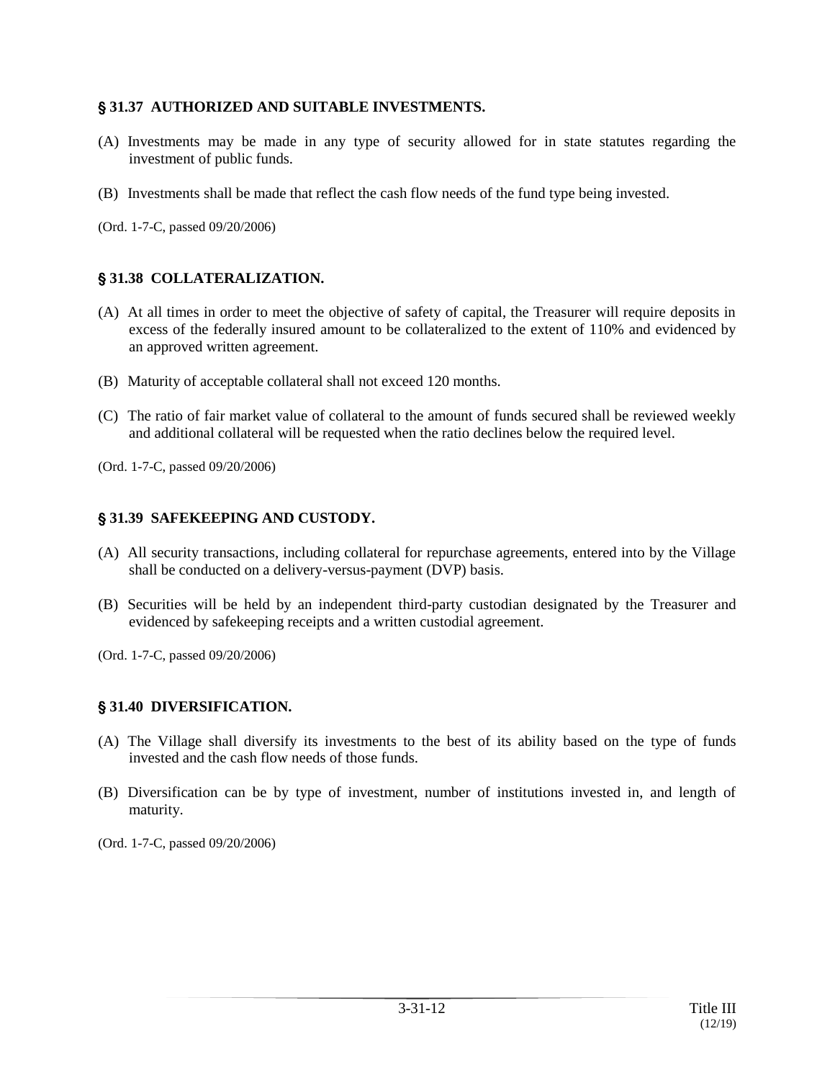#### ' **31.37 AUTHORIZED AND SUITABLE INVESTMENTS.**

- (A) Investments may be made in any type of security allowed for in state statutes regarding the investment of public funds.
- (B) Investments shall be made that reflect the cash flow needs of the fund type being invested.

(Ord. 1-7-C, passed 09/20/2006)

## ' **31.38 COLLATERALIZATION.**

- (A) At all times in order to meet the objective of safety of capital, the Treasurer will require deposits in excess of the federally insured amount to be collateralized to the extent of 110% and evidenced by an approved written agreement.
- (B) Maturity of acceptable collateral shall not exceed 120 months.
- (C) The ratio of fair market value of collateral to the amount of funds secured shall be reviewed weekly and additional collateral will be requested when the ratio declines below the required level.

(Ord. 1-7-C, passed 09/20/2006)

#### ' **31.39 SAFEKEEPING AND CUSTODY.**

- (A) All security transactions, including collateral for repurchase agreements, entered into by the Village shall be conducted on a delivery-versus-payment (DVP) basis.
- (B) Securities will be held by an independent third-party custodian designated by the Treasurer and evidenced by safekeeping receipts and a written custodial agreement.

(Ord. 1-7-C, passed 09/20/2006)

#### ' **31.40 DIVERSIFICATION.**

- (A) The Village shall diversify its investments to the best of its ability based on the type of funds invested and the cash flow needs of those funds.
- (B) Diversification can be by type of investment, number of institutions invested in, and length of maturity.

(Ord. 1-7-C, passed 09/20/2006)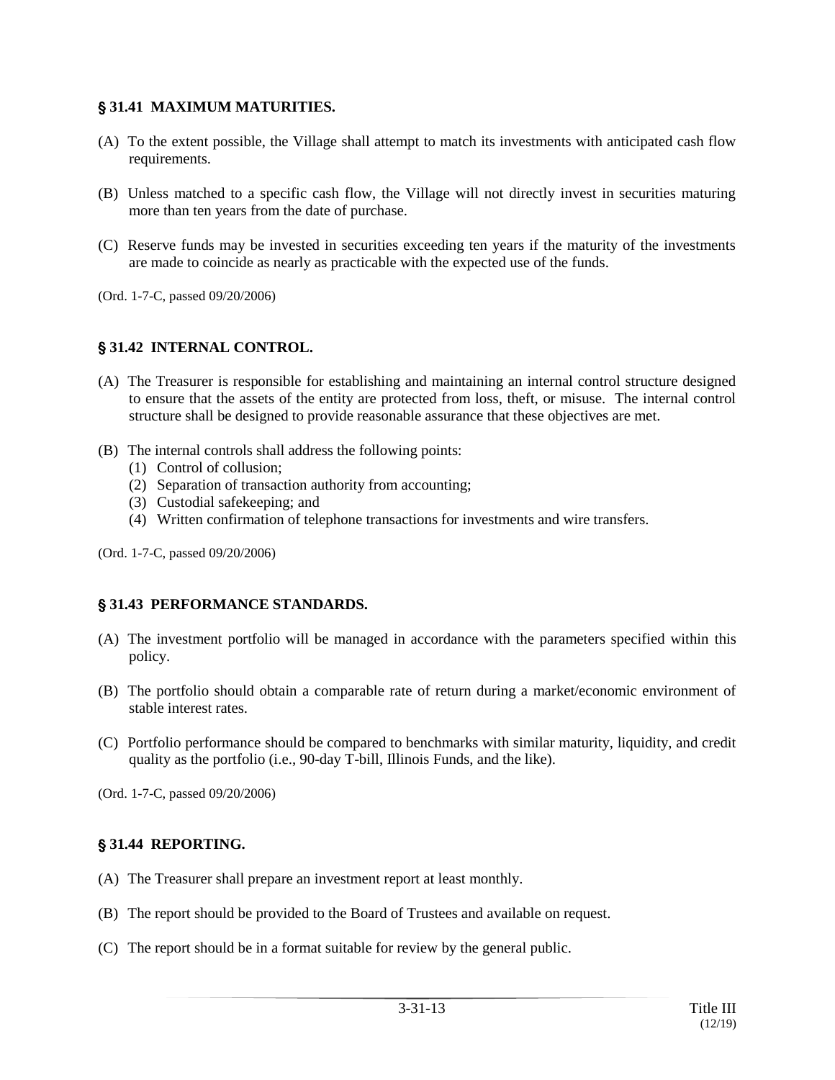## ' **31.41 MAXIMUM MATURITIES.**

- (A) To the extent possible, the Village shall attempt to match its investments with anticipated cash flow requirements.
- (B) Unless matched to a specific cash flow, the Village will not directly invest in securities maturing more than ten years from the date of purchase.
- (C) Reserve funds may be invested in securities exceeding ten years if the maturity of the investments are made to coincide as nearly as practicable with the expected use of the funds.
- (Ord. 1-7-C, passed 09/20/2006)

# ' **31.42 INTERNAL CONTROL.**

- (A) The Treasurer is responsible for establishing and maintaining an internal control structure designed to ensure that the assets of the entity are protected from loss, theft, or misuse. The internal control structure shall be designed to provide reasonable assurance that these objectives are met.
- (B) The internal controls shall address the following points:
	- (1) Control of collusion;
	- (2) Separation of transaction authority from accounting;
	- (3) Custodial safekeeping; and
	- (4) Written confirmation of telephone transactions for investments and wire transfers.
- (Ord. 1-7-C, passed 09/20/2006)

## ' **31.43 PERFORMANCE STANDARDS.**

- (A) The investment portfolio will be managed in accordance with the parameters specified within this policy.
- (B) The portfolio should obtain a comparable rate of return during a market/economic environment of stable interest rates.
- (C) Portfolio performance should be compared to benchmarks with similar maturity, liquidity, and credit quality as the portfolio (i.e., 90-day T-bill, Illinois Funds, and the like).

(Ord. 1-7-C, passed 09/20/2006)

## ' **31.44 REPORTING.**

- (A) The Treasurer shall prepare an investment report at least monthly.
- (B) The report should be provided to the Board of Trustees and available on request.
- (C) The report should be in a format suitable for review by the general public.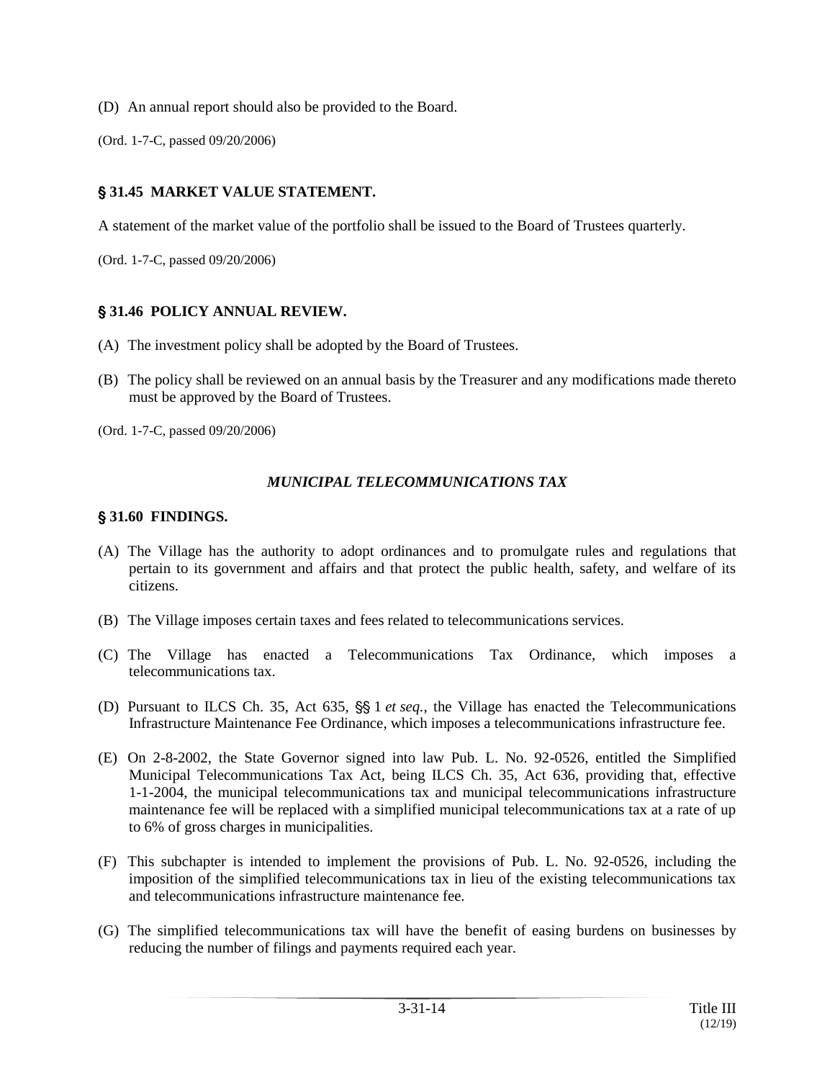- (D) An annual report should also be provided to the Board.
- (Ord. 1-7-C, passed 09/20/2006)

## ' **31.45 MARKET VALUE STATEMENT.**

A statement of the market value of the portfolio shall be issued to the Board of Trustees quarterly.

(Ord. 1-7-C, passed 09/20/2006)

#### ' **31.46 POLICY ANNUAL REVIEW.**

- (A) The investment policy shall be adopted by the Board of Trustees.
- (B) The policy shall be reviewed on an annual basis by the Treasurer and any modifications made thereto must be approved by the Board of Trustees.

(Ord. 1-7-C, passed 09/20/2006)

#### *MUNICIPAL TELECOMMUNICATIONS TAX*

#### ' **31.60 FINDINGS.**

- (A) The Village has the authority to adopt ordinances and to promulgate rules and regulations that pertain to its government and affairs and that protect the public health, safety, and welfare of its citizens.
- (B) The Village imposes certain taxes and fees related to telecommunications services.
- (C) The Village has enacted a Telecommunications Tax Ordinance, which imposes a telecommunications tax.
- (D) Pursuant to ILCS Ch. 35, Act 635,  $\S$  1 *et seq.*, the Village has enacted the Telecommunications Infrastructure Maintenance Fee Ordinance, which imposes a telecommunications infrastructure fee.
- (E) On 2-8-2002, the State Governor signed into law Pub. L. No. 92-0526, entitled the Simplified Municipal Telecommunications Tax Act, being ILCS Ch. 35, Act 636, providing that, effective 1-1-2004, the municipal telecommunications tax and municipal telecommunications infrastructure maintenance fee will be replaced with a simplified municipal telecommunications tax at a rate of up to 6% of gross charges in municipalities.
- (F) This subchapter is intended to implement the provisions of Pub. L. No. 92-0526, including the imposition of the simplified telecommunications tax in lieu of the existing telecommunications tax and telecommunications infrastructure maintenance fee.
- (G) The simplified telecommunications tax will have the benefit of easing burdens on businesses by reducing the number of filings and payments required each year.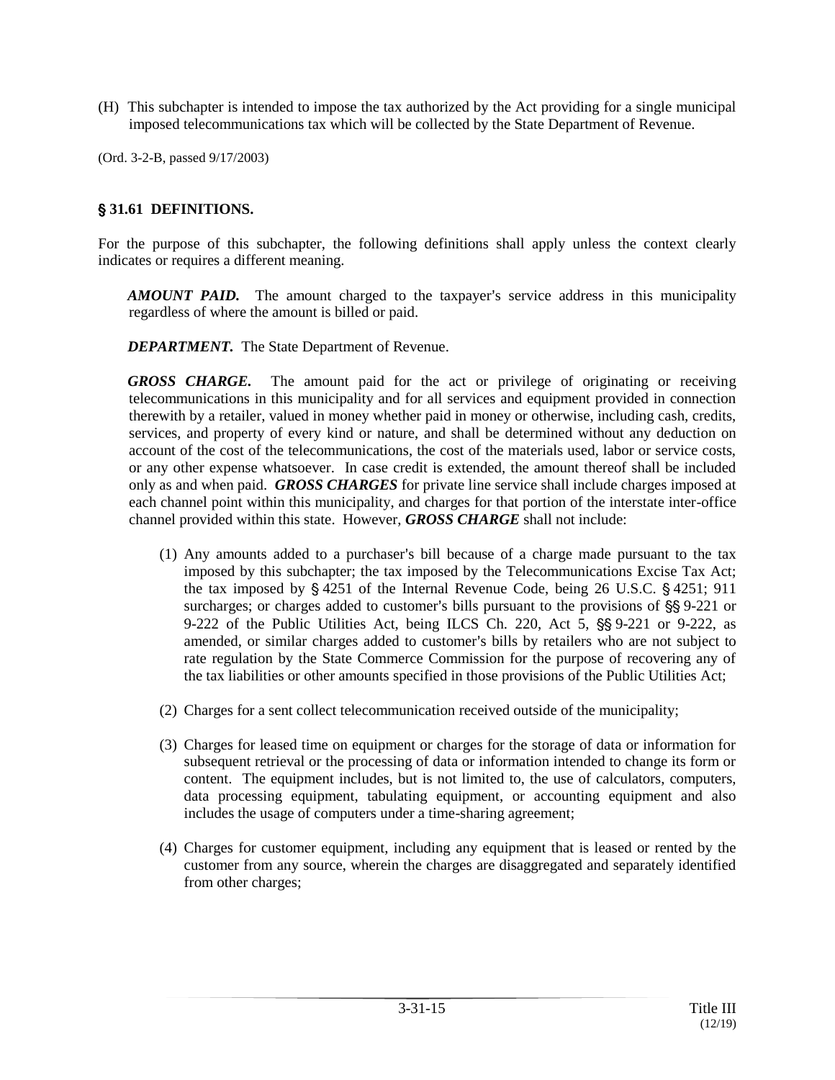- (H) This subchapter is intended to impose the tax authorized by the Act providing for a single municipal imposed telecommunications tax which will be collected by the State Department of Revenue.
- (Ord. 3-2-B, passed 9/17/2003)

## ' **31.61 DEFINITIONS.**

For the purpose of this subchapter, the following definitions shall apply unless the context clearly indicates or requires a different meaning.

*AMOUNT PAID.* The amount charged to the taxpayer's service address in this municipality regardless of where the amount is billed or paid.

*DEPARTMENT.* The State Department of Revenue.

*GROSS CHARGE.* The amount paid for the act or privilege of originating or receiving telecommunications in this municipality and for all services and equipment provided in connection therewith by a retailer, valued in money whether paid in money or otherwise, including cash, credits, services, and property of every kind or nature, and shall be determined without any deduction on account of the cost of the telecommunications, the cost of the materials used, labor or service costs, or any other expense whatsoever. In case credit is extended, the amount thereof shall be included only as and when paid. *GROSS CHARGES* for private line service shall include charges imposed at each channel point within this municipality, and charges for that portion of the interstate inter-office channel provided within this state. However, *GROSS CHARGE* shall not include:

- $(1)$  Any amounts added to a purchaser's bill because of a charge made pursuant to the tax imposed by this subchapter; the tax imposed by the Telecommunications Excise Tax Act; the tax imposed by  $\S$  4251 of the Internal Revenue Code, being 26 U.S.C.  $\S$  4251; 911 surcharges; or charges added to customer's bills pursuant to the provisions of §§ 9-221 or 9-222 of the Public Utilities Act, being ILCS Ch. 220, Act 5,  $\S$ § 9-221 or 9-222, as amended, or similar charges added to customer's bills by retailers who are not subject to rate regulation by the State Commerce Commission for the purpose of recovering any of the tax liabilities or other amounts specified in those provisions of the Public Utilities Act;
- (2) Charges for a sent collect telecommunication received outside of the municipality;
- (3) Charges for leased time on equipment or charges for the storage of data or information for subsequent retrieval or the processing of data or information intended to change its form or content. The equipment includes, but is not limited to, the use of calculators, computers, data processing equipment, tabulating equipment, or accounting equipment and also includes the usage of computers under a time-sharing agreement;
- (4) Charges for customer equipment, including any equipment that is leased or rented by the customer from any source, wherein the charges are disaggregated and separately identified from other charges;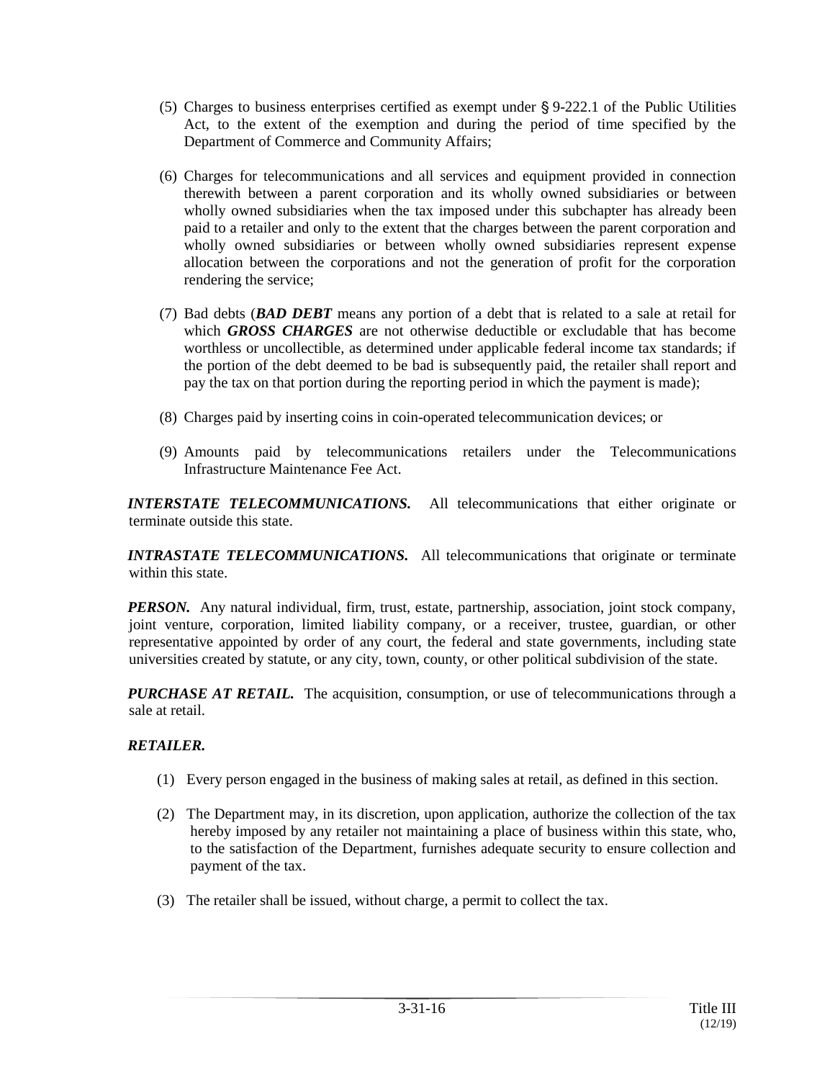- (5) Charges to business enterprises certified as exempt under  $\S$  9-222.1 of the Public Utilities Act, to the extent of the exemption and during the period of time specified by the Department of Commerce and Community Affairs;
- (6) Charges for telecommunications and all services and equipment provided in connection therewith between a parent corporation and its wholly owned subsidiaries or between wholly owned subsidiaries when the tax imposed under this subchapter has already been paid to a retailer and only to the extent that the charges between the parent corporation and wholly owned subsidiaries or between wholly owned subsidiaries represent expense allocation between the corporations and not the generation of profit for the corporation rendering the service;
- (7) Bad debts (*BAD DEBT* means any portion of a debt that is related to a sale at retail for which *GROSS CHARGES* are not otherwise deductible or excludable that has become worthless or uncollectible, as determined under applicable federal income tax standards; if the portion of the debt deemed to be bad is subsequently paid, the retailer shall report and pay the tax on that portion during the reporting period in which the payment is made);
- (8) Charges paid by inserting coins in coin-operated telecommunication devices; or
- (9) Amounts paid by telecommunications retailers under the Telecommunications Infrastructure Maintenance Fee Act.

*INTERSTATE TELECOMMUNICATIONS.* All telecommunications that either originate or terminate outside this state.

*INTRASTATE TELECOMMUNICATIONS.* All telecommunications that originate or terminate within this state.

*PERSON.* Any natural individual, firm, trust, estate, partnership, association, joint stock company, joint venture, corporation, limited liability company, or a receiver, trustee, guardian, or other representative appointed by order of any court, the federal and state governments, including state universities created by statute, or any city, town, county, or other political subdivision of the state.

*PURCHASE AT RETAIL.* The acquisition, consumption, or use of telecommunications through a sale at retail.

# *RETAILER.*

- (1) Every person engaged in the business of making sales at retail, as defined in this section.
- (2) The Department may, in its discretion, upon application, authorize the collection of the tax hereby imposed by any retailer not maintaining a place of business within this state, who, to the satisfaction of the Department, furnishes adequate security to ensure collection and payment of the tax.
- (3) The retailer shall be issued, without charge, a permit to collect the tax.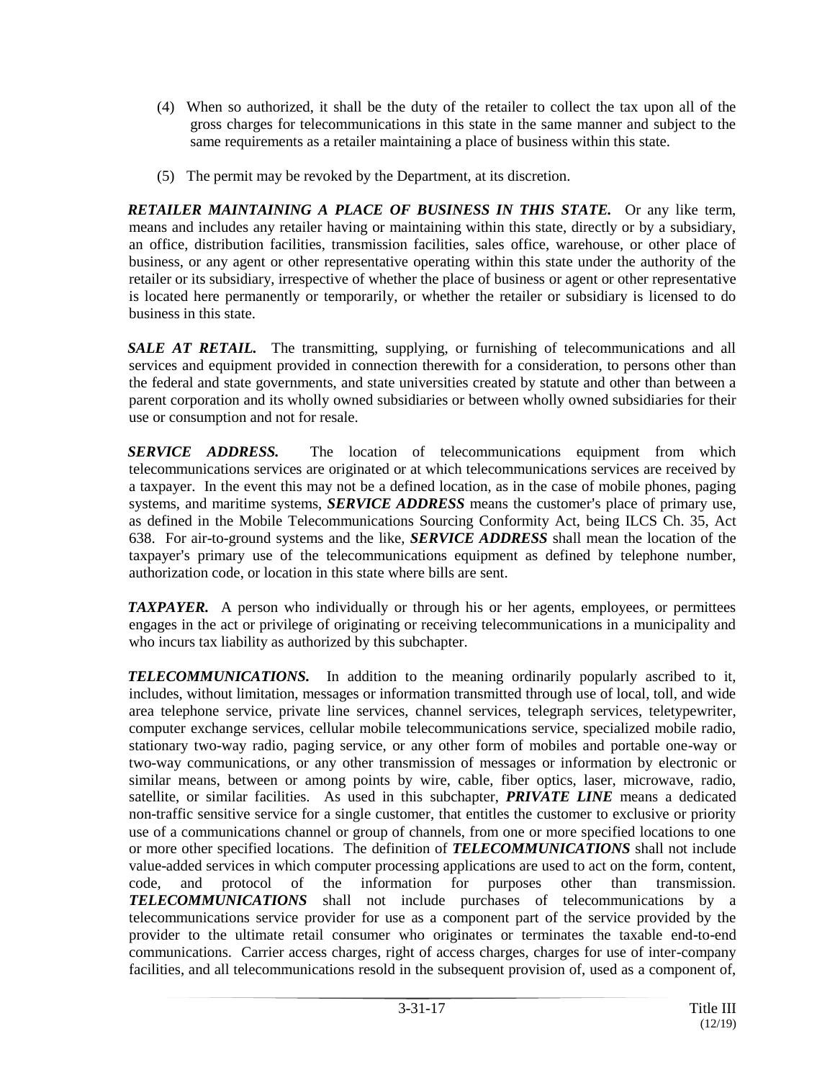- (4) When so authorized, it shall be the duty of the retailer to collect the tax upon all of the gross charges for telecommunications in this state in the same manner and subject to the same requirements as a retailer maintaining a place of business within this state.
- (5) The permit may be revoked by the Department, at its discretion.

*RETAILER MAINTAINING A PLACE OF BUSINESS IN THIS STATE.* Or any like term, means and includes any retailer having or maintaining within this state, directly or by a subsidiary, an office, distribution facilities, transmission facilities, sales office, warehouse, or other place of business, or any agent or other representative operating within this state under the authority of the retailer or its subsidiary, irrespective of whether the place of business or agent or other representative is located here permanently or temporarily, or whether the retailer or subsidiary is licensed to do business in this state.

**SALE AT RETAIL.** The transmitting, supplying, or furnishing of telecommunications and all services and equipment provided in connection therewith for a consideration, to persons other than the federal and state governments, and state universities created by statute and other than between a parent corporation and its wholly owned subsidiaries or between wholly owned subsidiaries for their use or consumption and not for resale.

*SERVICE ADDRESS.* The location of telecommunications equipment from which telecommunications services are originated or at which telecommunications services are received by a taxpayer. In the event this may not be a defined location, as in the case of mobile phones, paging systems, and maritime systems, *SERVICE ADDRESS* means the customer's place of primary use, as defined in the Mobile Telecommunications Sourcing Conformity Act, being ILCS Ch. 35, Act 638. For air-to-ground systems and the like, *SERVICE ADDRESS* shall mean the location of the taxpayer's primary use of the telecommunications equipment as defined by telephone number, authorization code, or location in this state where bills are sent.

*TAXPAYER.* A person who individually or through his or her agents, employees, or permittees engages in the act or privilege of originating or receiving telecommunications in a municipality and who incurs tax liability as authorized by this subchapter.

*TELECOMMUNICATIONS.* In addition to the meaning ordinarily popularly ascribed to it, includes, without limitation, messages or information transmitted through use of local, toll, and wide area telephone service, private line services, channel services, telegraph services, teletypewriter, computer exchange services, cellular mobile telecommunications service, specialized mobile radio, stationary two-way radio, paging service, or any other form of mobiles and portable one-way or two-way communications, or any other transmission of messages or information by electronic or similar means, between or among points by wire, cable, fiber optics, laser, microwave, radio, satellite, or similar facilities. As used in this subchapter, *PRIVATE LINE* means a dedicated non-traffic sensitive service for a single customer, that entitles the customer to exclusive or priority use of a communications channel or group of channels, from one or more specified locations to one or more other specified locations. The definition of *TELECOMMUNICATIONS* shall not include value-added services in which computer processing applications are used to act on the form, content, code, and protocol of the information for purposes other than transmission. *TELECOMMUNICATIONS* shall not include purchases of telecommunications by a telecommunications service provider for use as a component part of the service provided by the provider to the ultimate retail consumer who originates or terminates the taxable end-to-end communications. Carrier access charges, right of access charges, charges for use of inter-company facilities, and all telecommunications resold in the subsequent provision of, used as a component of,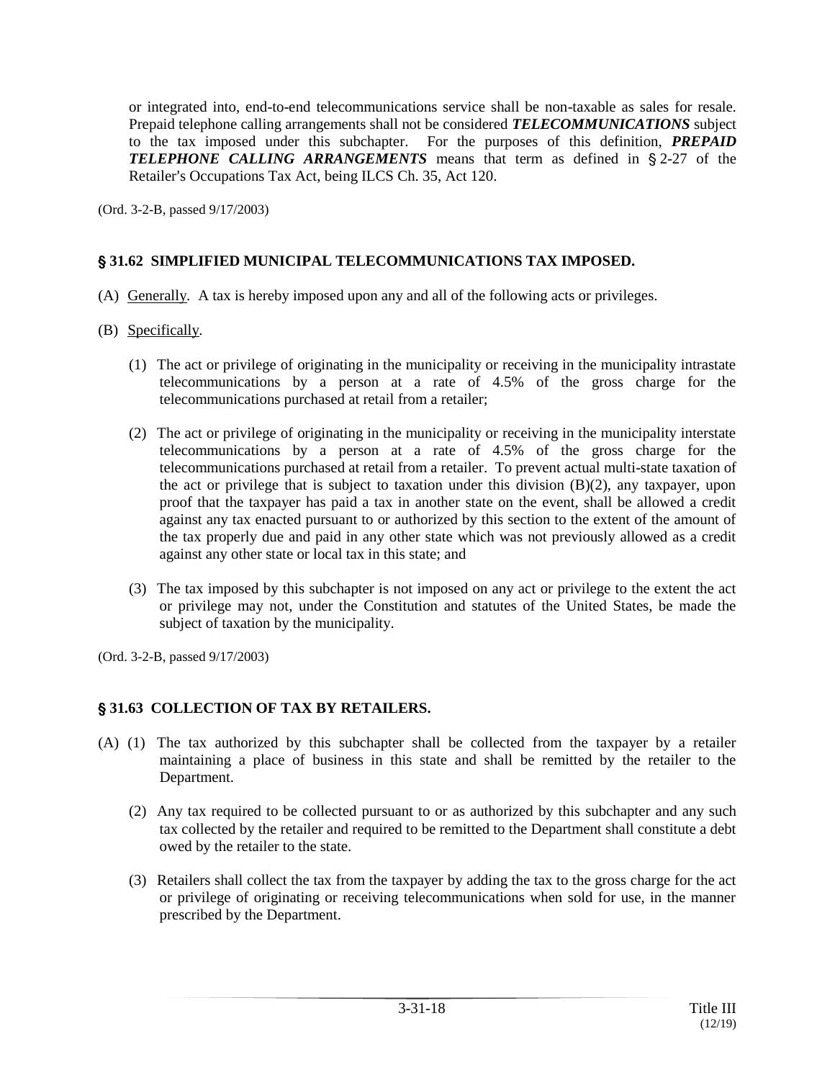or integrated into, end-to-end telecommunications service shall be non-taxable as sales for resale. Prepaid telephone calling arrangements shall not be considered *TELECOMMUNICATIONS* subject to the tax imposed under this subchapter. For the purposes of this definition, *PREPAID*  **TELEPHONE CALLING ARRANGEMENTS** means that term as defined in §2-27 of the Retailer's Occupations Tax Act, being ILCS Ch. 35, Act 120.

(Ord. 3-2-B, passed 9/17/2003)

# ' **31.62 SIMPLIFIED MUNICIPAL TELECOMMUNICATIONS TAX IMPOSED.**

- (A) Generally*.* A tax is hereby imposed upon any and all of the following acts or privileges.
- (B) Specifically*.*
	- (1) The act or privilege of originating in the municipality or receiving in the municipality intrastate telecommunications by a person at a rate of 4.5% of the gross charge for the telecommunications purchased at retail from a retailer;
	- (2) The act or privilege of originating in the municipality or receiving in the municipality interstate telecommunications by a person at a rate of 4.5% of the gross charge for the telecommunications purchased at retail from a retailer. To prevent actual multi-state taxation of the act or privilege that is subject to taxation under this division (B)(2), any taxpayer, upon proof that the taxpayer has paid a tax in another state on the event, shall be allowed a credit against any tax enacted pursuant to or authorized by this section to the extent of the amount of the tax properly due and paid in any other state which was not previously allowed as a credit against any other state or local tax in this state; and
	- (3) The tax imposed by this subchapter is not imposed on any act or privilege to the extent the act or privilege may not, under the Constitution and statutes of the United States, be made the subject of taxation by the municipality.

(Ord. 3-2-B, passed 9/17/2003)

# ' **31.63 COLLECTION OF TAX BY RETAILERS.**

- (A) (1) The tax authorized by this subchapter shall be collected from the taxpayer by a retailer maintaining a place of business in this state and shall be remitted by the retailer to the Department.
	- (2) Any tax required to be collected pursuant to or as authorized by this subchapter and any such tax collected by the retailer and required to be remitted to the Department shall constitute a debt owed by the retailer to the state.
	- (3) Retailers shall collect the tax from the taxpayer by adding the tax to the gross charge for the act or privilege of originating or receiving telecommunications when sold for use, in the manner prescribed by the Department.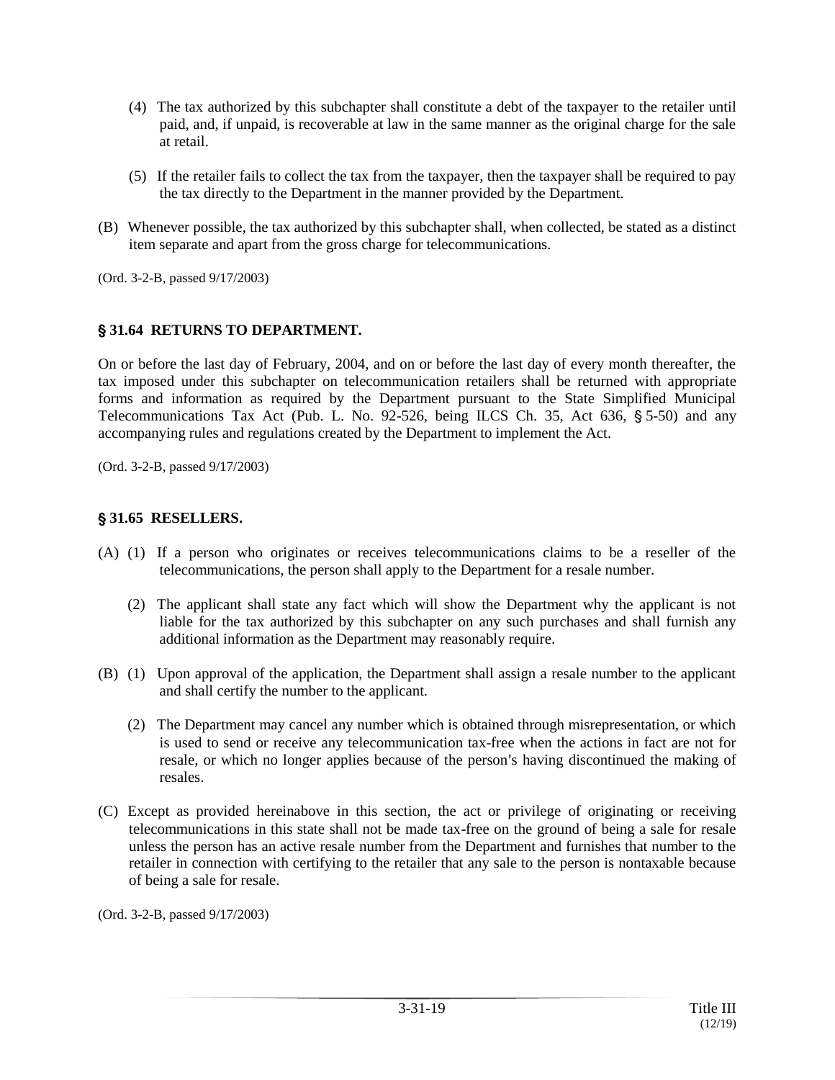- (4) The tax authorized by this subchapter shall constitute a debt of the taxpayer to the retailer until paid, and, if unpaid, is recoverable at law in the same manner as the original charge for the sale at retail.
- (5) If the retailer fails to collect the tax from the taxpayer, then the taxpayer shall be required to pay the tax directly to the Department in the manner provided by the Department.
- (B) Whenever possible, the tax authorized by this subchapter shall, when collected, be stated as a distinct item separate and apart from the gross charge for telecommunications.

(Ord. 3-2-B, passed 9/17/2003)

# ' **31.64 RETURNS TO DEPARTMENT.**

On or before the last day of February, 2004, and on or before the last day of every month thereafter, the tax imposed under this subchapter on telecommunication retailers shall be returned with appropriate forms and information as required by the Department pursuant to the State Simplified Municipal Telecommunications Tax Act (Pub. L. No. 92-526, being ILCS Ch. 35, Act 636,  $\S$  5-50) and any accompanying rules and regulations created by the Department to implement the Act.

(Ord. 3-2-B, passed 9/17/2003)

## ' **31.65 RESELLERS.**

- (A) (1) If a person who originates or receives telecommunications claims to be a reseller of the telecommunications, the person shall apply to the Department for a resale number.
	- (2) The applicant shall state any fact which will show the Department why the applicant is not liable for the tax authorized by this subchapter on any such purchases and shall furnish any additional information as the Department may reasonably require.
- (B) (1) Upon approval of the application, the Department shall assign a resale number to the applicant and shall certify the number to the applicant.
	- (2) The Department may cancel any number which is obtained through misrepresentation, or which is used to send or receive any telecommunication tax-free when the actions in fact are not for resale, or which no longer applies because of the person's having discontinued the making of resales.
- (C) Except as provided hereinabove in this section, the act or privilege of originating or receiving telecommunications in this state shall not be made tax-free on the ground of being a sale for resale unless the person has an active resale number from the Department and furnishes that number to the retailer in connection with certifying to the retailer that any sale to the person is nontaxable because of being a sale for resale.

(Ord. 3-2-B, passed 9/17/2003)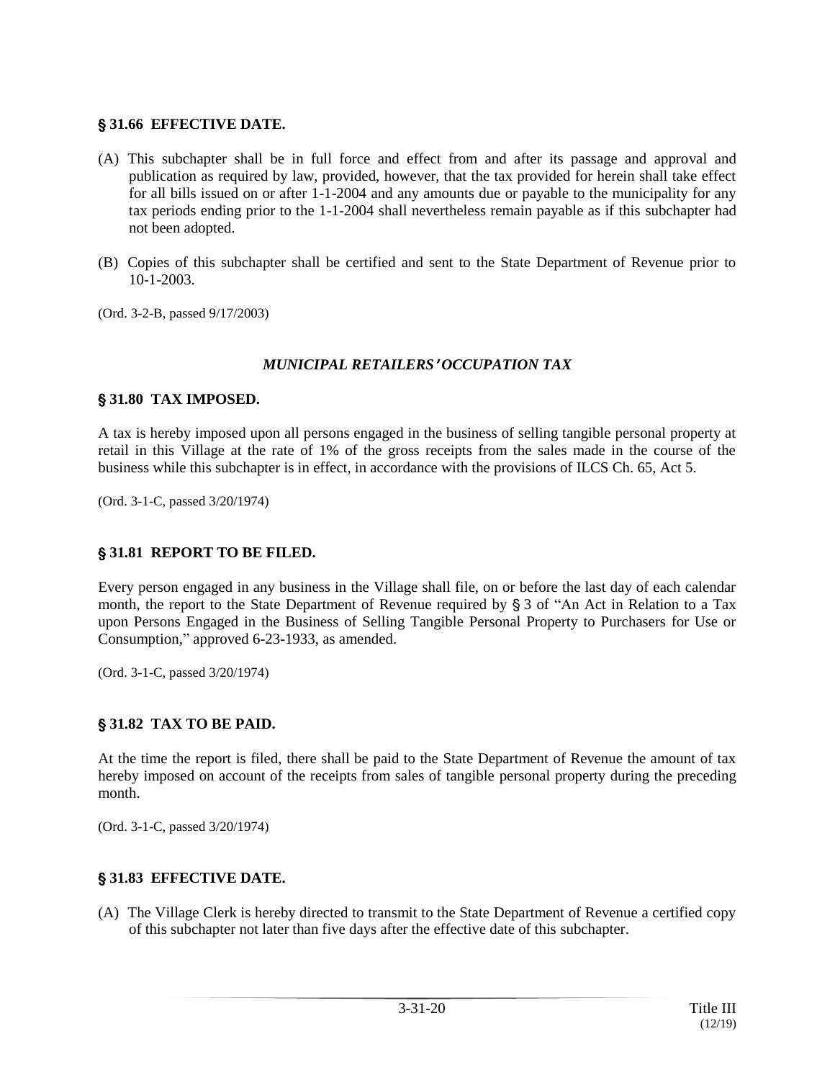# ' **31.66 EFFECTIVE DATE.**

- (A) This subchapter shall be in full force and effect from and after its passage and approval and publication as required by law, provided, however, that the tax provided for herein shall take effect for all bills issued on or after 1-1-2004 and any amounts due or payable to the municipality for any tax periods ending prior to the 1-1-2004 shall nevertheless remain payable as if this subchapter had not been adopted.
- (B) Copies of this subchapter shall be certified and sent to the State Department of Revenue prior to 10-1-2003.
- (Ord. 3-2-B, passed 9/17/2003)

# *MUNICIPAL RETAILERS*<sup>=</sup> *OCCUPATION TAX*

## ' **31.80 TAX IMPOSED.**

A tax is hereby imposed upon all persons engaged in the business of selling tangible personal property at retail in this Village at the rate of 1% of the gross receipts from the sales made in the course of the business while this subchapter is in effect, in accordance with the provisions of ILCS Ch. 65, Act 5.

(Ord. 3-1-C, passed 3/20/1974)

## ' **31.81 REPORT TO BE FILED.**

Every person engaged in any business in the Village shall file, on or before the last day of each calendar month, the report to the State Department of Revenue required by § 3 of "An Act in Relation to a Tax upon Persons Engaged in the Business of Selling Tangible Personal Property to Purchasers for Use or Consumption," approved 6-23-1933, as amended.

(Ord. 3-1-C, passed 3/20/1974)

# ' **31.82 TAX TO BE PAID.**

At the time the report is filed, there shall be paid to the State Department of Revenue the amount of tax hereby imposed on account of the receipts from sales of tangible personal property during the preceding month.

(Ord. 3-1-C, passed 3/20/1974)

# ' **31.83 EFFECTIVE DATE.**

(A) The Village Clerk is hereby directed to transmit to the State Department of Revenue a certified copy of this subchapter not later than five days after the effective date of this subchapter.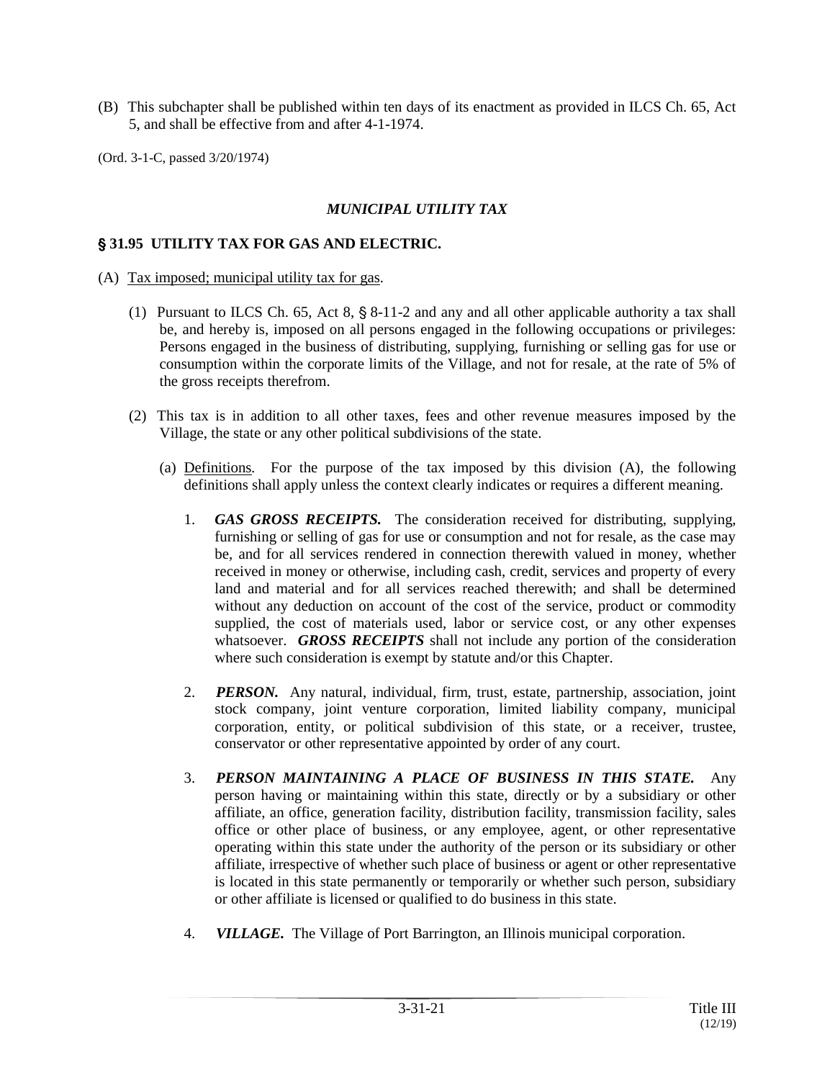- (B) This subchapter shall be published within ten days of its enactment as provided in ILCS Ch. 65, Act 5, and shall be effective from and after 4-1-1974.
- (Ord. 3-1-C, passed 3/20/1974)

#### *MUNICIPAL UTILITY TAX*

#### ' **31.95 UTILITY TAX FOR GAS AND ELECTRIC.**

- (A) Tax imposed; municipal utility tax for gas*.*
	- (1) Pursuant to ILCS Ch. 65, Act 8,  $\S 8$ -11-2 and any and all other applicable authority a tax shall be, and hereby is, imposed on all persons engaged in the following occupations or privileges: Persons engaged in the business of distributing, supplying, furnishing or selling gas for use or consumption within the corporate limits of the Village, and not for resale, at the rate of 5% of the gross receipts therefrom.
	- (2) This tax is in addition to all other taxes, fees and other revenue measures imposed by the Village, the state or any other political subdivisions of the state.
		- (a) Definitions*.* For the purpose of the tax imposed by this division (A), the following definitions shall apply unless the context clearly indicates or requires a different meaning.
			- 1. *GAS GROSS RECEIPTS.* The consideration received for distributing, supplying, furnishing or selling of gas for use or consumption and not for resale, as the case may be, and for all services rendered in connection therewith valued in money, whether received in money or otherwise, including cash, credit, services and property of every land and material and for all services reached therewith; and shall be determined without any deduction on account of the cost of the service, product or commodity supplied, the cost of materials used, labor or service cost, or any other expenses whatsoever. *GROSS RECEIPTS* shall not include any portion of the consideration where such consideration is exempt by statute and/or this Chapter.
			- 2. *PERSON.* Any natural, individual, firm, trust, estate, partnership, association, joint stock company, joint venture corporation, limited liability company, municipal corporation, entity, or political subdivision of this state, or a receiver, trustee, conservator or other representative appointed by order of any court.
			- 3. *PERSON MAINTAINING A PLACE OF BUSINESS IN THIS STATE.* Any person having or maintaining within this state, directly or by a subsidiary or other affiliate, an office, generation facility, distribution facility, transmission facility, sales office or other place of business, or any employee, agent, or other representative operating within this state under the authority of the person or its subsidiary or other affiliate, irrespective of whether such place of business or agent or other representative is located in this state permanently or temporarily or whether such person, subsidiary or other affiliate is licensed or qualified to do business in this state.
			- 4. *VILLAGE.* The Village of Port Barrington, an Illinois municipal corporation.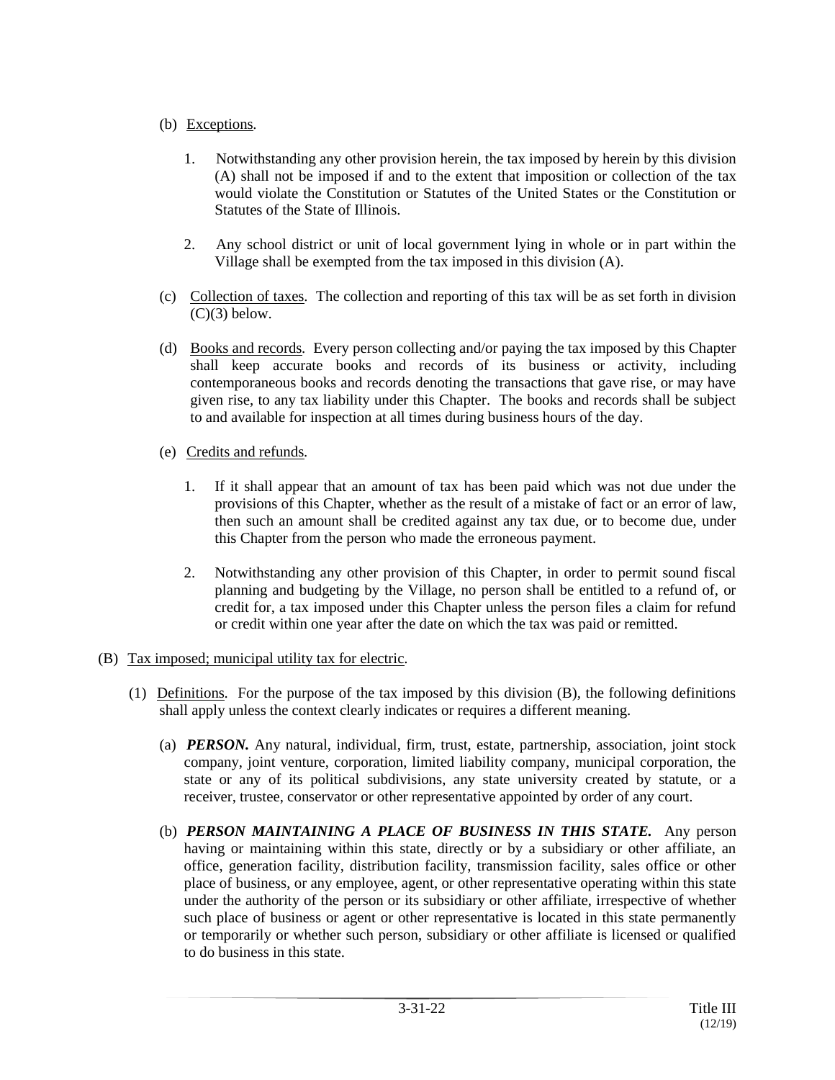# (b) Exceptions*.*

- 1. Notwithstanding any other provision herein, the tax imposed by herein by this division (A) shall not be imposed if and to the extent that imposition or collection of the tax would violate the Constitution or Statutes of the United States or the Constitution or Statutes of the State of Illinois.
- 2. Any school district or unit of local government lying in whole or in part within the Village shall be exempted from the tax imposed in this division (A).
- (c) Collection of taxes*.* The collection and reporting of this tax will be as set forth in division  $(C)(3)$  below.
- (d) Books and records*.* Every person collecting and/or paying the tax imposed by this Chapter shall keep accurate books and records of its business or activity, including contemporaneous books and records denoting the transactions that gave rise, or may have given rise, to any tax liability under this Chapter. The books and records shall be subject to and available for inspection at all times during business hours of the day.
- (e) Credits and refunds*.*
	- 1. If it shall appear that an amount of tax has been paid which was not due under the provisions of this Chapter, whether as the result of a mistake of fact or an error of law, then such an amount shall be credited against any tax due, or to become due, under this Chapter from the person who made the erroneous payment.
	- 2. Notwithstanding any other provision of this Chapter, in order to permit sound fiscal planning and budgeting by the Village, no person shall be entitled to a refund of, or credit for, a tax imposed under this Chapter unless the person files a claim for refund or credit within one year after the date on which the tax was paid or remitted.
- (B) Tax imposed; municipal utility tax for electric*.*
	- (1) Definitions*.* For the purpose of the tax imposed by this division (B), the following definitions shall apply unless the context clearly indicates or requires a different meaning.
		- (a) *PERSON.* Any natural, individual, firm, trust, estate, partnership, association, joint stock company, joint venture, corporation, limited liability company, municipal corporation, the state or any of its political subdivisions, any state university created by statute, or a receiver, trustee, conservator or other representative appointed by order of any court.
		- (b) *PERSON MAINTAINING A PLACE OF BUSINESS IN THIS STATE.* Any person having or maintaining within this state, directly or by a subsidiary or other affiliate, an office, generation facility, distribution facility, transmission facility, sales office or other place of business, or any employee, agent, or other representative operating within this state under the authority of the person or its subsidiary or other affiliate, irrespective of whether such place of business or agent or other representative is located in this state permanently or temporarily or whether such person, subsidiary or other affiliate is licensed or qualified to do business in this state.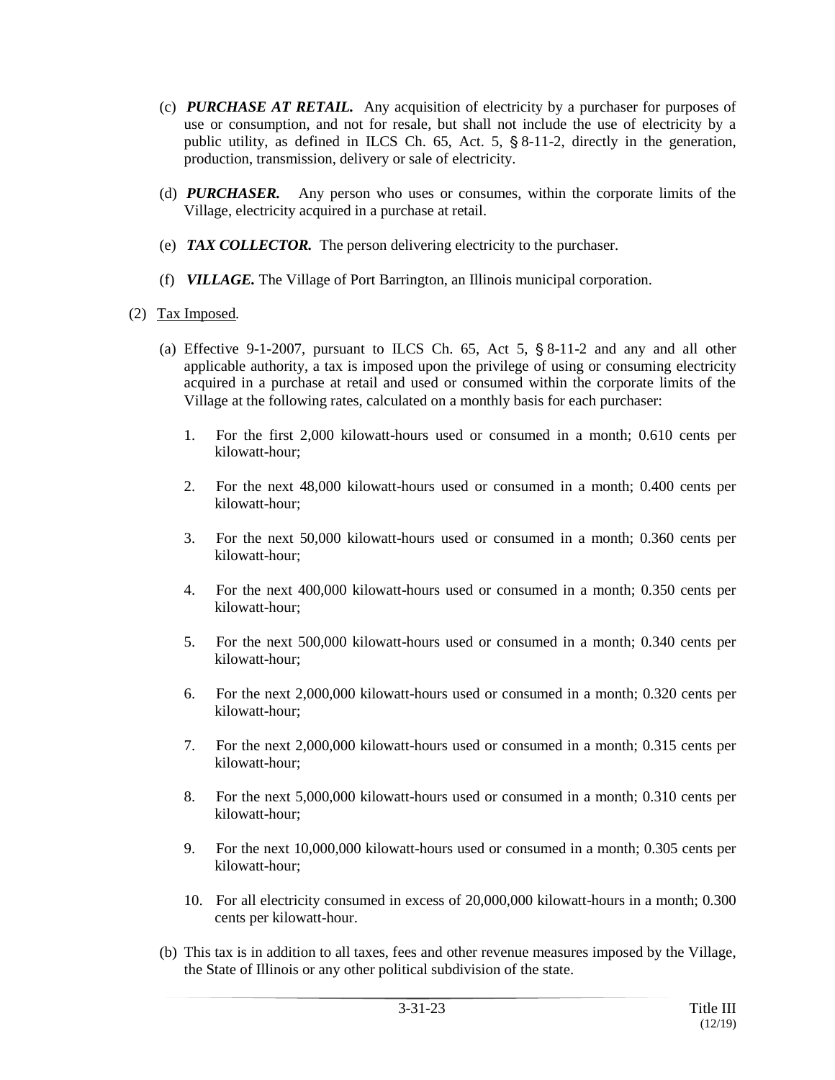- (c) *PURCHASE AT RETAIL.* Any acquisition of electricity by a purchaser for purposes of use or consumption, and not for resale, but shall not include the use of electricity by a public utility, as defined in ILCS Ch. 65, Act. 5,  $\S$  8-11-2, directly in the generation, production, transmission, delivery or sale of electricity.
- (d) *PURCHASER.* Any person who uses or consumes, within the corporate limits of the Village, electricity acquired in a purchase at retail.
- (e) *TAX COLLECTOR.* The person delivering electricity to the purchaser.
- (f) *VILLAGE.* The Village of Port Barrington, an Illinois municipal corporation.

#### (2) Tax Imposed*.*

- (a) Effective 9-1-2007, pursuant to ILCS Ch. 65, Act 5,  $\S 8$ -11-2 and any and all other applicable authority, a tax is imposed upon the privilege of using or consuming electricity acquired in a purchase at retail and used or consumed within the corporate limits of the Village at the following rates, calculated on a monthly basis for each purchaser:
	- 1. For the first 2,000 kilowatt-hours used or consumed in a month; 0.610 cents per kilowatt-hour;
	- 2. For the next 48,000 kilowatt-hours used or consumed in a month; 0.400 cents per kilowatt-hour;
	- 3. For the next 50,000 kilowatt-hours used or consumed in a month; 0.360 cents per kilowatt-hour;
	- 4. For the next 400,000 kilowatt-hours used or consumed in a month; 0.350 cents per kilowatt-hour;
	- 5. For the next 500,000 kilowatt-hours used or consumed in a month; 0.340 cents per kilowatt-hour;
	- 6. For the next 2,000,000 kilowatt-hours used or consumed in a month; 0.320 cents per kilowatt-hour;
	- 7. For the next 2,000,000 kilowatt-hours used or consumed in a month; 0.315 cents per kilowatt-hour;
	- 8. For the next 5,000,000 kilowatt-hours used or consumed in a month; 0.310 cents per kilowatt-hour;
	- 9. For the next 10,000,000 kilowatt-hours used or consumed in a month; 0.305 cents per kilowatt-hour;
	- 10. For all electricity consumed in excess of 20,000,000 kilowatt-hours in a month; 0.300 cents per kilowatt-hour.
- (b) This tax is in addition to all taxes, fees and other revenue measures imposed by the Village, the State of Illinois or any other political subdivision of the state.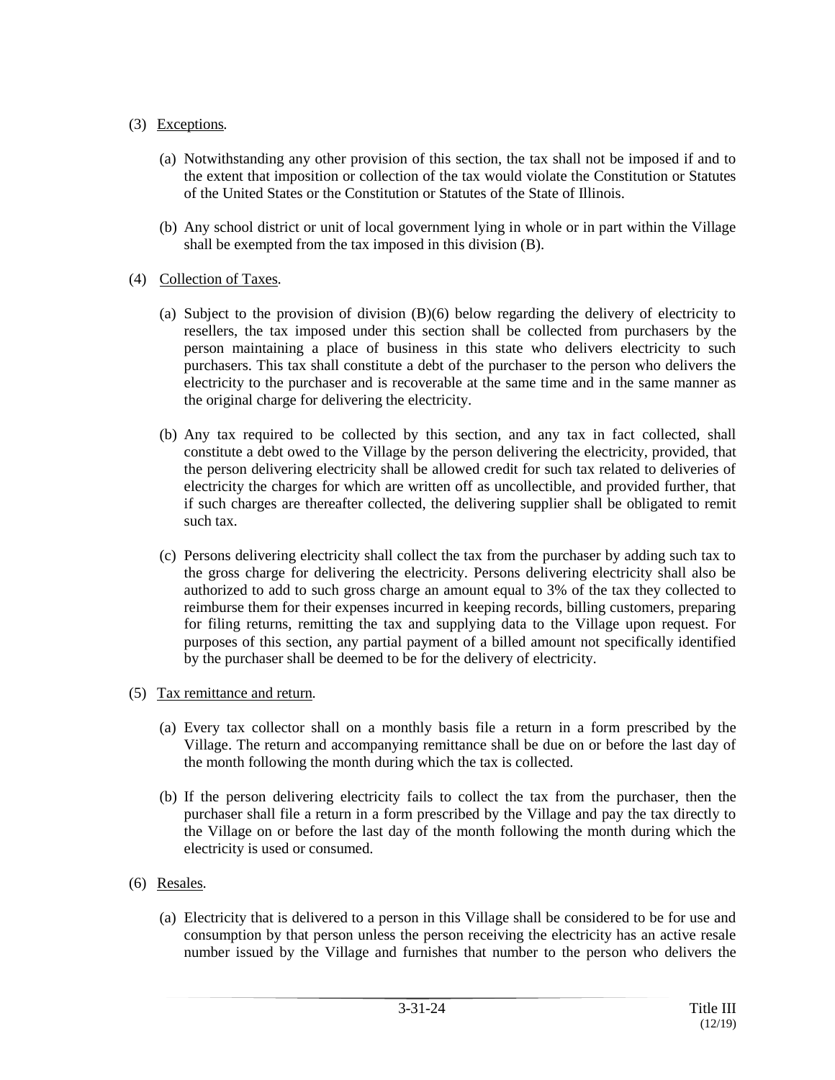# (3) Exceptions*.*

- (a) Notwithstanding any other provision of this section, the tax shall not be imposed if and to the extent that imposition or collection of the tax would violate the Constitution or Statutes of the United States or the Constitution or Statutes of the State of Illinois.
- (b) Any school district or unit of local government lying in whole or in part within the Village shall be exempted from the tax imposed in this division (B).
- (4) Collection of Taxes*.*
	- (a) Subject to the provision of division (B)(6) below regarding the delivery of electricity to resellers, the tax imposed under this section shall be collected from purchasers by the person maintaining a place of business in this state who delivers electricity to such purchasers. This tax shall constitute a debt of the purchaser to the person who delivers the electricity to the purchaser and is recoverable at the same time and in the same manner as the original charge for delivering the electricity.
	- (b) Any tax required to be collected by this section, and any tax in fact collected, shall constitute a debt owed to the Village by the person delivering the electricity, provided, that the person delivering electricity shall be allowed credit for such tax related to deliveries of electricity the charges for which are written off as uncollectible, and provided further, that if such charges are thereafter collected, the delivering supplier shall be obligated to remit such tax.
	- (c) Persons delivering electricity shall collect the tax from the purchaser by adding such tax to the gross charge for delivering the electricity. Persons delivering electricity shall also be authorized to add to such gross charge an amount equal to 3% of the tax they collected to reimburse them for their expenses incurred in keeping records, billing customers, preparing for filing returns, remitting the tax and supplying data to the Village upon request. For purposes of this section, any partial payment of a billed amount not specifically identified by the purchaser shall be deemed to be for the delivery of electricity.

## (5) Tax remittance and return*.*

- (a) Every tax collector shall on a monthly basis file a return in a form prescribed by the Village. The return and accompanying remittance shall be due on or before the last day of the month following the month during which the tax is collected.
- (b) If the person delivering electricity fails to collect the tax from the purchaser, then the purchaser shall file a return in a form prescribed by the Village and pay the tax directly to the Village on or before the last day of the month following the month during which the electricity is used or consumed.
- (6) Resales*.*
	- (a) Electricity that is delivered to a person in this Village shall be considered to be for use and consumption by that person unless the person receiving the electricity has an active resale number issued by the Village and furnishes that number to the person who delivers the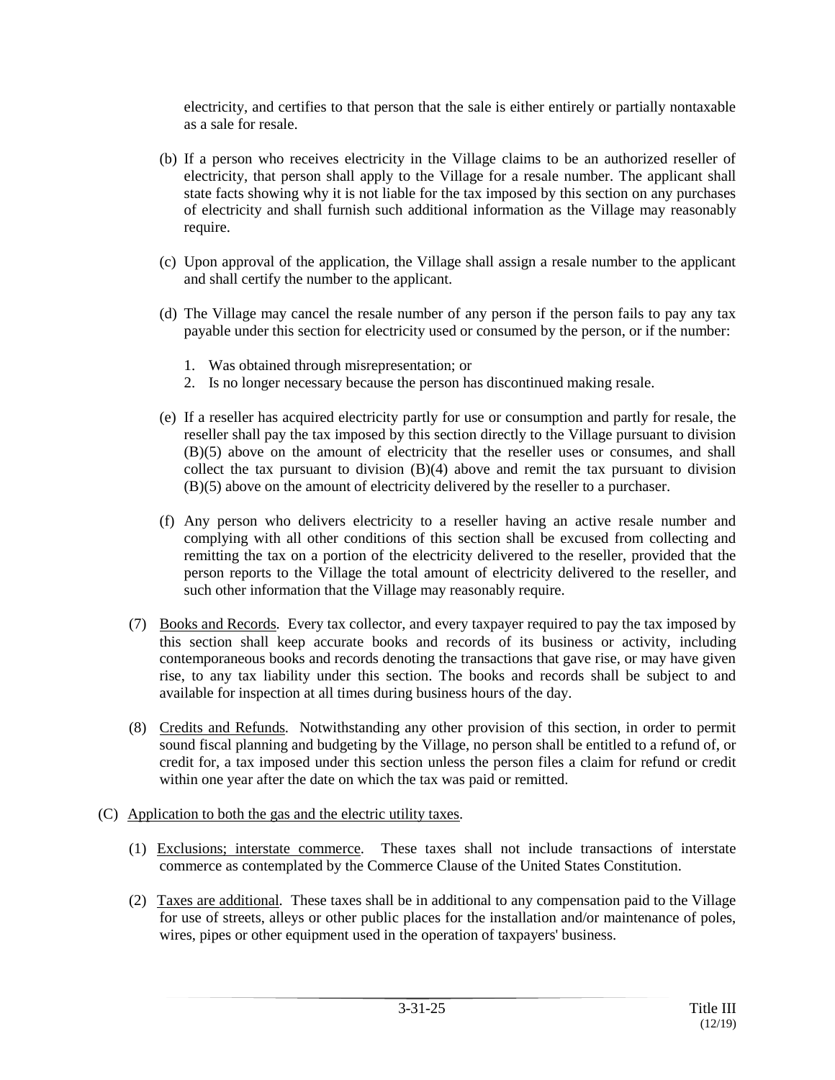electricity, and certifies to that person that the sale is either entirely or partially nontaxable as a sale for resale.

- (b) If a person who receives electricity in the Village claims to be an authorized reseller of electricity, that person shall apply to the Village for a resale number. The applicant shall state facts showing why it is not liable for the tax imposed by this section on any purchases of electricity and shall furnish such additional information as the Village may reasonably require.
- (c) Upon approval of the application, the Village shall assign a resale number to the applicant and shall certify the number to the applicant.
- (d) The Village may cancel the resale number of any person if the person fails to pay any tax payable under this section for electricity used or consumed by the person, or if the number:
	- 1. Was obtained through misrepresentation; or
	- 2. Is no longer necessary because the person has discontinued making resale.
- (e) If a reseller has acquired electricity partly for use or consumption and partly for resale, the reseller shall pay the tax imposed by this section directly to the Village pursuant to division (B)(5) above on the amount of electricity that the reseller uses or consumes, and shall collect the tax pursuant to division (B)(4) above and remit the tax pursuant to division (B)(5) above on the amount of electricity delivered by the reseller to a purchaser.
- (f) Any person who delivers electricity to a reseller having an active resale number and complying with all other conditions of this section shall be excused from collecting and remitting the tax on a portion of the electricity delivered to the reseller, provided that the person reports to the Village the total amount of electricity delivered to the reseller, and such other information that the Village may reasonably require.
- (7) Books and Records*.* Every tax collector, and every taxpayer required to pay the tax imposed by this section shall keep accurate books and records of its business or activity, including contemporaneous books and records denoting the transactions that gave rise, or may have given rise, to any tax liability under this section. The books and records shall be subject to and available for inspection at all times during business hours of the day.
- (8) Credits and Refunds*.* Notwithstanding any other provision of this section, in order to permit sound fiscal planning and budgeting by the Village, no person shall be entitled to a refund of, or credit for, a tax imposed under this section unless the person files a claim for refund or credit within one year after the date on which the tax was paid or remitted.
- (C) Application to both the gas and the electric utility taxes*.*
	- (1) Exclusions; interstate commerce*.* These taxes shall not include transactions of interstate commerce as contemplated by the Commerce Clause of the United States Constitution.
	- (2) Taxes are additional*.* These taxes shall be in additional to any compensation paid to the Village for use of streets, alleys or other public places for the installation and/or maintenance of poles, wires, pipes or other equipment used in the operation of taxpayers' business.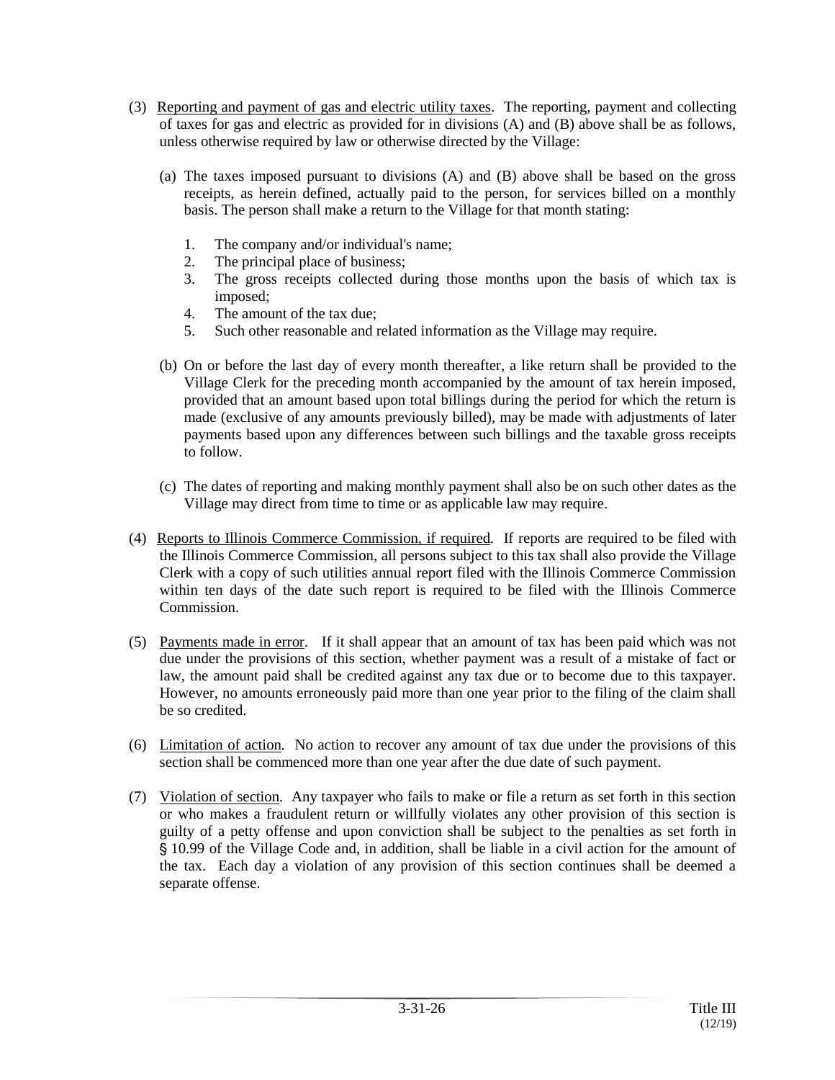- (3) Reporting and payment of gas and electric utility taxes*.* The reporting, payment and collecting of taxes for gas and electric as provided for in divisions (A) and (B) above shall be as follows, unless otherwise required by law or otherwise directed by the Village:
	- (a) The taxes imposed pursuant to divisions (A) and (B) above shall be based on the gross receipts, as herein defined, actually paid to the person, for services billed on a monthly basis. The person shall make a return to the Village for that month stating:
		- 1. The company and/or individual's name;
		- 2. The principal place of business;
		- 3. The gross receipts collected during those months upon the basis of which tax is imposed;
		- 4. The amount of the tax due;
		- 5. Such other reasonable and related information as the Village may require.
	- (b) On or before the last day of every month thereafter, a like return shall be provided to the Village Clerk for the preceding month accompanied by the amount of tax herein imposed, provided that an amount based upon total billings during the period for which the return is made (exclusive of any amounts previously billed), may be made with adjustments of later payments based upon any differences between such billings and the taxable gross receipts to follow.
	- (c) The dates of reporting and making monthly payment shall also be on such other dates as the Village may direct from time to time or as applicable law may require.
- (4) Reports to Illinois Commerce Commission, if required*.* If reports are required to be filed with the Illinois Commerce Commission, all persons subject to this tax shall also provide the Village Clerk with a copy of such utilities annual report filed with the Illinois Commerce Commission within ten days of the date such report is required to be filed with the Illinois Commerce Commission.
- (5) Payments made in error*.* If it shall appear that an amount of tax has been paid which was not due under the provisions of this section, whether payment was a result of a mistake of fact or law, the amount paid shall be credited against any tax due or to become due to this taxpayer. However, no amounts erroneously paid more than one year prior to the filing of the claim shall be so credited.
- (6) Limitation of action*.* No action to recover any amount of tax due under the provisions of this section shall be commenced more than one year after the due date of such payment.
- (7) Violation of section*.* Any taxpayer who fails to make or file a return as set forth in this section or who makes a fraudulent return or willfully violates any other provision of this section is guilty of a petty offense and upon conviction shall be subject to the penalties as set forth in ' 10.99 of the Village Code and, in addition, shall be liable in a civil action for the amount of the tax. Each day a violation of any provision of this section continues shall be deemed a separate offense.